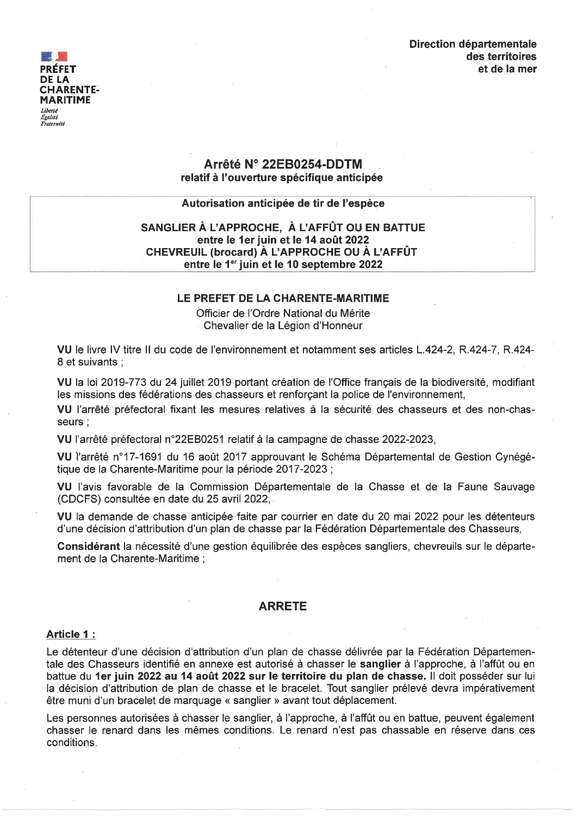# Direction départementale des territoires et de la mer



# Arrêté N° 22EB0254-DDTM relatif à l'ouverture spécifique anticipée

# Autorisation anticipée de tir de l'espèce

# SANGLIER À L'APPROCHE. À L'AFFÛT OU EN BATTUE entre le 1er juin et le 14 août 2022 CHEVREUIL (brocard) À L'APPROCHE OU À L'AFFÛT entre le 1<sup>er</sup> juin et le 10 septembre 2022

### LE PREFET DE LA CHARENTE-MARITIME

Officier de l'Ordre National du Mérite Chevalier de la Légion d'Honneur

VU le livre IV titre II du code de l'environnement et notamment ses articles L.424-2, R.424-7, R.424-8 et suivants :

VU la loi 2019-773 du 24 juillet 2019 portant création de l'Office francais de la biodiversité, modifiant les missions des fédérations des chasseurs et renforcant la police de l'environnement,

VU l'arrêté préfectoral fixant les mesures relatives à la sécurité des chasseurs et des non-chasseurs :

VU l'arrêté préfectoral n°22EB0251 relatif à la campagne de chasse 2022-2023,

VU l'arrêté n°17-1691 du 16 août 2017 approuvant le Schéma Départemental de Gestion Cynégétique de la Charente-Maritime pour la période 2017-2023 ;

VU l'avis favorable de la Commission Départementale de la Chasse et de la Faune Sauvage (CDCFS) consultée en date du 25 avril 2022,

VU la demande de chasse anticipée faite par courrier en date du 20 mai 2022 pour les détenteurs d'une décision d'attribution d'un plan de chasse par la Fédération Départementale des Chasseurs,

Considérant la nécessité d'une gestion équilibrée des espèces sangliers, chevreuils sur le département de la Charente-Maritime :

### **ARRETE**

### Article 1:

Le détenteur d'une décision d'attribution d'un plan de chasse délivrée par la Fédération Départementale des Chasseurs identifié en annexe est autorisé à chasser le sanglier à l'approche, à l'affût ou en battue du 1er juin 2022 au 14 août 2022 sur le territoire du plan de chasse. Il doit posséder sur lui la décision d'attribution de plan de chasse et le bracelet. Tout sanglier prélevé devra impérativement être muni d'un bracelet de marquage « sanglier » avant tout déplacement.

Les personnes autorisées à chasser le sanglier, à l'approche, à l'affût ou en battue, peuvent également chasser le renard dans les mêmes conditions. Le renard n'est pas chassable en réserve dans ces conditions.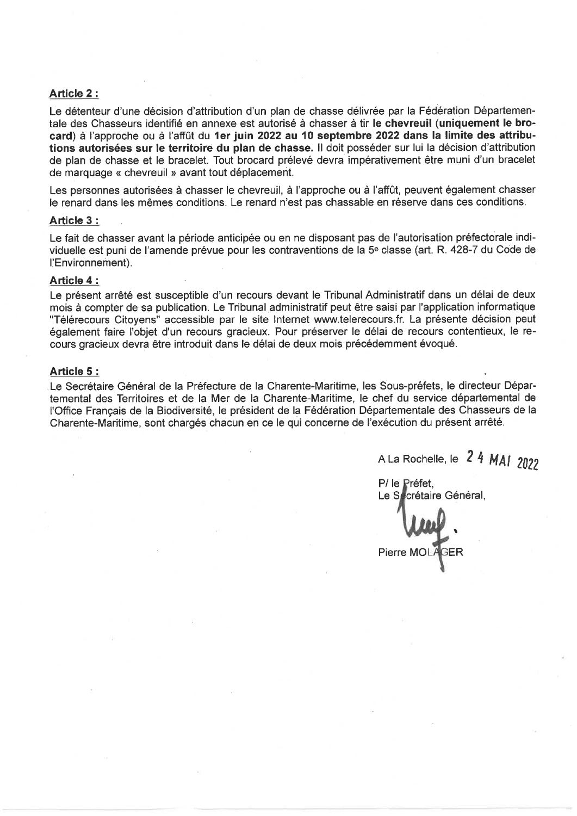### Article 2:

Le détenteur d'une décision d'attribution d'un plan de chasse délivrée par la Fédération Départementale des Chasseurs identifié en annexe est autorisé à chasser à tir le chevreuil (uniquement le brocard) à l'approche ou à l'affût du 1er juin 2022 au 10 septembre 2022 dans la limite des attributions autorisées sur le territoire du plan de chasse. Il doit posséder sur lui la décision d'attribution de plan de chasse et le bracelet. Tout brocard prélevé devra impérativement être muni d'un bracelet de marquage « chevreuil » avant tout déplacement.

Les personnes autorisées à chasser le chevreuil, à l'approche ou à l'affût, peuvent également chasser le renard dans les mêmes conditions. Le renard n'est pas chassable en réserve dans ces conditions.

#### Article 3:

Le fait de chasser avant la période anticipée ou en ne disposant pas de l'autorisation préfectorale individuelle est puni de l'amende prévue pour les contraventions de la 5<sup>e</sup> classe (art. R. 428-7 du Code de l'Environnement).

### Article 4:

Le présent arrêté est susceptible d'un recours devant le Tribunal Administratif dans un délai de deux mois à compter de sa publication. Le Tribunal administratif peut être saisi par l'application informatique "Télérecours Citoyens" accessible par le site Internet www.telerecours.fr. La présente décision peut également faire l'objet d'un recours gracieux. Pour préserver le délai de recours contentieux, le recours gracieux devra être introduit dans le délai de deux mois précédemment évoqué.

#### Article 5:

Le Secrétaire Général de la Préfecture de la Charente-Maritime, les Sous-préfets, le directeur Départemental des Territoires et de la Mer de la Charente-Maritime, le chef du service départemental de l'Office Français de la Biodiversité, le président de la Fédération Départementale des Chasseurs de la Charente-Maritime, sont chargés chacun en ce le qui concerne de l'exécution du présent arrêté.

A La Rochelle, le 2 4 MAI 2022

P/ le Préfet. Le Secrétaire Général. Pierre MC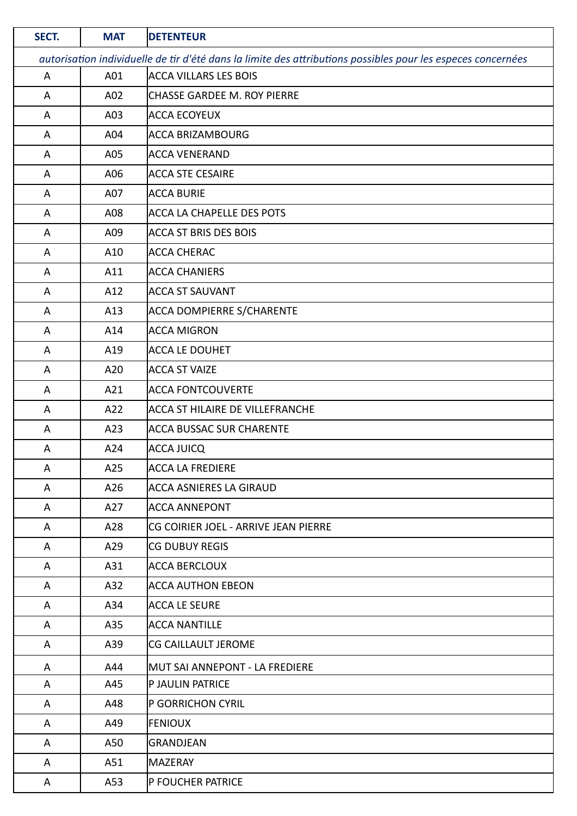| SECT. | <b>MAT</b>                                                                                                   | <b>DETENTEUR</b>                       |  |
|-------|--------------------------------------------------------------------------------------------------------------|----------------------------------------|--|
|       | autorisation individuelle de tir d'été dans la limite des attributions possibles pour les especes concernées |                                        |  |
| A     | A01                                                                                                          | <b>ACCA VILLARS LES BOIS</b>           |  |
| A     | A02                                                                                                          | <b>CHASSE GARDEE M. ROY PIERRE</b>     |  |
| A     | A03                                                                                                          | <b>ACCA ECOYEUX</b>                    |  |
| A     | A04                                                                                                          | <b>ACCA BRIZAMBOURG</b>                |  |
| A     | A05                                                                                                          | ACCA VENERAND                          |  |
| A     | A06                                                                                                          | <b>ACCA STE CESAIRE</b>                |  |
| A     | A07                                                                                                          | <b>ACCA BURIE</b>                      |  |
| A     | A08                                                                                                          | <b>ACCA LA CHAPELLE DES POTS</b>       |  |
| A     | A09                                                                                                          | <b>ACCA ST BRIS DES BOIS</b>           |  |
| A     | A10                                                                                                          | <b>ACCA CHERAC</b>                     |  |
| A     | A11                                                                                                          | <b>ACCA CHANIERS</b>                   |  |
| A     | A12                                                                                                          | <b>ACCA ST SAUVANT</b>                 |  |
| A     | A13                                                                                                          | <b>ACCA DOMPIERRE S/CHARENTE</b>       |  |
| A     | A14                                                                                                          | <b>ACCA MIGRON</b>                     |  |
| A     | A19                                                                                                          | <b>ACCA LE DOUHET</b>                  |  |
| A     | A20                                                                                                          | <b>ACCA ST VAIZE</b>                   |  |
| A     | A21                                                                                                          | <b>ACCA FONTCOUVERTE</b>               |  |
| A     | A22                                                                                                          | <b>ACCA ST HILAIRE DE VILLEFRANCHE</b> |  |
| A     | A23                                                                                                          | <b>ACCA BUSSAC SUR CHARENTE</b>        |  |
| A     | A24                                                                                                          | <b>ACCA JUICQ</b>                      |  |
| A     | A25                                                                                                          | <b>ACCA LA FREDIERE</b>                |  |
| A     | A26                                                                                                          | <b>ACCA ASNIERES LA GIRAUD</b>         |  |
| A     | A27                                                                                                          | <b>ACCA ANNEPONT</b>                   |  |
| A     | A28                                                                                                          | CG COIRIER JOEL - ARRIVE JEAN PIERRE   |  |
| A     | A29                                                                                                          | <b>CG DUBUY REGIS</b>                  |  |
| A     | A31                                                                                                          | <b>ACCA BERCLOUX</b>                   |  |
| A     | A32                                                                                                          | <b>ACCA AUTHON EBEON</b>               |  |
| A     | A34                                                                                                          | <b>ACCA LE SEURE</b>                   |  |
| A     | A35                                                                                                          | <b>ACCA NANTILLE</b>                   |  |
| A     | A39                                                                                                          | CG CAILLAULT JEROME                    |  |
| A     | A44                                                                                                          | MUT SAI ANNEPONT - LA FREDIERE         |  |
| A     | A45                                                                                                          | P JAULIN PATRICE                       |  |
| A     | A48                                                                                                          | P GORRICHON CYRIL                      |  |
| A     | A49                                                                                                          | <b>FENIOUX</b>                         |  |
| A     | A50                                                                                                          | <b>GRANDJEAN</b>                       |  |
| A     | A51                                                                                                          | <b>MAZERAY</b>                         |  |
| A     | A53                                                                                                          | P FOUCHER PATRICE                      |  |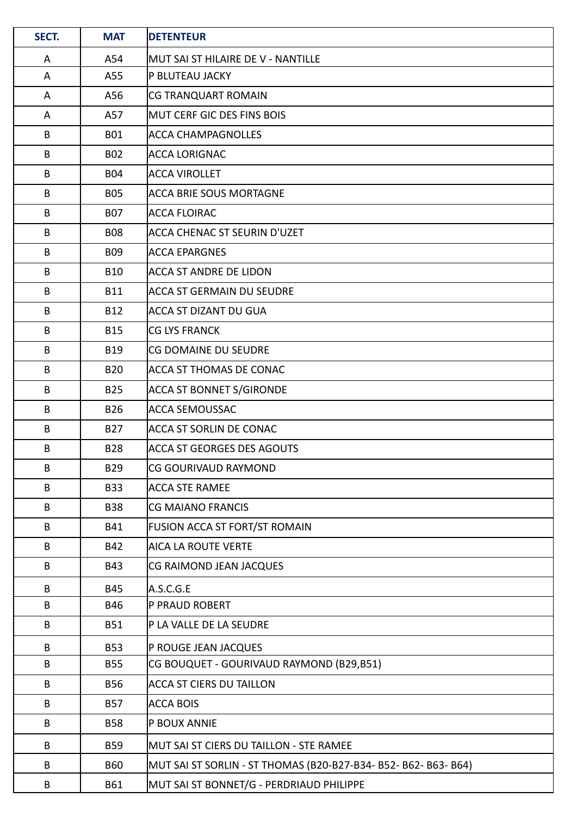| SECT. | <b>MAT</b> | <b>DETENTEUR</b>                                                |
|-------|------------|-----------------------------------------------------------------|
| A     | A54        | İMUT SAI ST HILAIRE DE V - NANTILLE                             |
| A     | A55        | P BLUTEAU JACKY                                                 |
| A     | A56        | <b>CG TRANQUART ROMAIN</b>                                      |
| A     | A57        | MUT CERF GIC DES FINS BOIS                                      |
| B     | <b>B01</b> | <b>ACCA CHAMPAGNOLLES</b>                                       |
| B     | <b>B02</b> | <b>ACCA LORIGNAC</b>                                            |
| B     | <b>B04</b> | ACCA VIROLLET                                                   |
| B     | <b>B05</b> | ACCA BRIE SOUS MORTAGNE                                         |
| B     | <b>B07</b> | ACCA FLOIRAC                                                    |
| B     | <b>B08</b> | ACCA CHENAC ST SEURIN D'UZET                                    |
| B     | <b>B09</b> | <b>ACCA EPARGNES</b>                                            |
| B     | <b>B10</b> | ACCA ST ANDRE DE LIDON                                          |
| B     | <b>B11</b> | ACCA ST GERMAIN DU SEUDRE                                       |
| B     | <b>B12</b> | <b>ACCA ST DIZANT DU GUA</b>                                    |
| B     | <b>B15</b> | <b>CG LYS FRANCK</b>                                            |
| B     | <b>B19</b> | <b>CG DOMAINE DU SEUDRE</b>                                     |
| B     | <b>B20</b> | ACCA ST THOMAS DE CONAC                                         |
| B     | <b>B25</b> | <b>ACCA ST BONNET S/GIRONDE</b>                                 |
| B     | <b>B26</b> | ACCA SEMOUSSAC                                                  |
| B     | <b>B27</b> | ACCA ST SORLIN DE CONAC                                         |
| B     | <b>B28</b> | ACCA ST GEORGES DES AGOUTS                                      |
| B     | <b>B29</b> | CG GOURIVAUD RAYMOND                                            |
| B     | <b>B33</b> | ACCA STE RAMEE                                                  |
| B     | <b>B38</b> | CG MAIANO FRANCIS                                               |
| B     | B41        | <b>FUSION ACCA ST FORT/ST ROMAIN</b>                            |
| B     | B42        | AICA LA ROUTE VERTE                                             |
| B     | <b>B43</b> | CG RAIMOND JEAN JACQUES                                         |
| B     | <b>B45</b> | A.S.C.G.E                                                       |
| B     | B46        | <b>P PRAUD ROBERT</b>                                           |
| B     | <b>B51</b> | P LA VALLE DE LA SEUDRE                                         |
| B     | <b>B53</b> | P ROUGE JEAN JACQUES                                            |
| B     | <b>B55</b> | CG BOUQUET - GOURIVAUD RAYMOND (B29,B51)                        |
| B     | <b>B56</b> | <b>ACCA ST CIERS DU TAILLON</b>                                 |
| B     | <b>B57</b> | <b>ACCA BOIS</b>                                                |
| B     | <b>B58</b> | P BOUX ANNIE                                                    |
| B     | <b>B59</b> | MUT SAI ST CIERS DU TAILLON - STE RAMEE                         |
| B     | <b>B60</b> | MUT SAI ST SORLIN - ST THOMAS (B20-B27-B34- B52- B62- B63- B64) |
| B     | B61        | MUT SAI ST BONNET/G - PERDRIAUD PHILIPPE                        |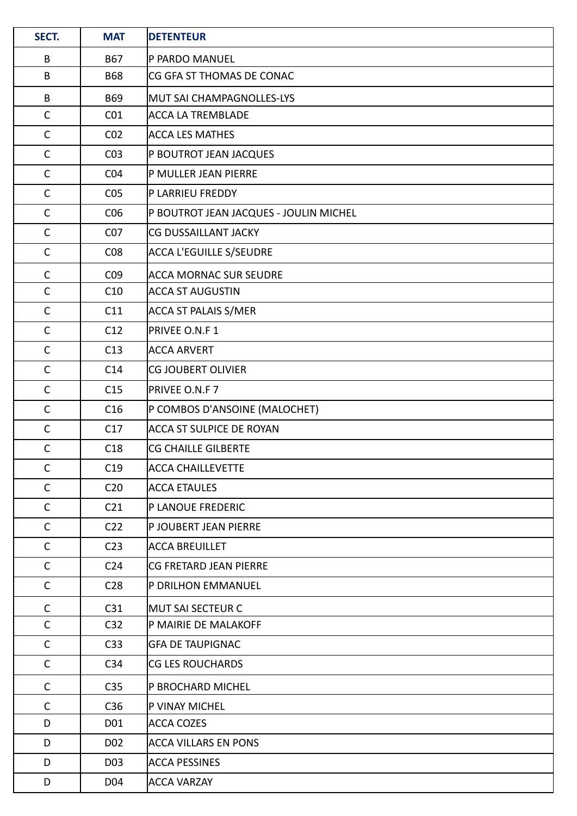| SECT.        | <b>MAT</b>       | <b>DETENTEUR</b>                       |
|--------------|------------------|----------------------------------------|
| B            | <b>B67</b>       | P PARDO MANUEL                         |
| B            | <b>B68</b>       | CG GFA ST THOMAS DE CONAC              |
| B            | <b>B69</b>       | MUT SAI CHAMPAGNOLLES-LYS              |
| $\mathsf{C}$ | CO <sub>1</sub>  | <b>ACCA LA TREMBLADE</b>               |
| $\mathsf{C}$ | CO <sub>2</sub>  | <b>ACCA LES MATHES</b>                 |
| $\mathsf{C}$ | CO <sub>3</sub>  | P BOUTROT JEAN JACQUES                 |
| $\mathsf{C}$ | CO <sub>4</sub>  | P MULLER JEAN PIERRE                   |
| $\mathsf{C}$ | CO <sub>5</sub>  | P LARRIEU FREDDY                       |
| $\mathsf C$  | CO6              | P BOUTROT JEAN JACQUES - JOULIN MICHEL |
| $\mathsf C$  | CO <sub>7</sub>  | <b>CG DUSSAILLANT JACKY</b>            |
| $\mathsf C$  | CO8              | ACCA L'EGUILLE S/SEUDRE                |
| $\mathsf{C}$ | CO <sub>9</sub>  | <b>ACCA MORNAC SUR SEUDRE</b>          |
| $\mathsf{C}$ | C10              | ACCA ST AUGUSTIN                       |
| $\mathsf C$  | C11              | <b>ACCA ST PALAIS S/MER</b>            |
| $\mathsf C$  | C12              | PRIVEE O.N.F 1                         |
| $\mathsf{C}$ | C13              | <b>ACCA ARVERT</b>                     |
| $\mathsf C$  | C14              | <b>CG JOUBERT OLIVIER</b>              |
| $\mathsf{C}$ | C15              | PRIVEE O.N.F 7                         |
| $\mathsf{C}$ | C16              | P COMBOS D'ANSOINE (MALOCHET)          |
| $\mathsf C$  | C17              | <b>ACCA ST SULPICE DE ROYAN</b>        |
| $\mathsf{C}$ | C18              | <b>CG CHAILLE GILBERTE</b>             |
| $\mathsf{C}$ | C19              | <b>ACCA CHAILLEVETTE</b>               |
| $\mathsf{C}$ | C <sub>20</sub>  | ACCA ETAULES                           |
| $\mathsf{C}$ | C <sub>21</sub>  | P LANOUE FREDERIC                      |
| $\mathsf{C}$ | C <sub>22</sub>  | P JOUBERT JEAN PIERRE                  |
| $\mathsf{C}$ | C <sub>23</sub>  | <b>ACCA BREUILLET</b>                  |
| $\mathsf{C}$ | C <sub>24</sub>  | <b>CG FRETARD JEAN PIERRE</b>          |
| $\mathsf{C}$ | C <sub>28</sub>  | P DRILHON EMMANUEL                     |
| $\mathsf{C}$ | C31              | MUT SAI SECTEUR C                      |
| $\mathsf{C}$ | C <sub>32</sub>  | P MAIRIE DE MALAKOFF                   |
| $\mathsf{C}$ | C <sub>33</sub>  | <b>GFA DE TAUPIGNAC</b>                |
| $\mathsf{C}$ | C <sub>34</sub>  | <b>CG LES ROUCHARDS</b>                |
| $\mathsf{C}$ | C <sub>35</sub>  | P BROCHARD MICHEL                      |
| $\mathsf{C}$ | C36              | P VINAY MICHEL                         |
| D            | D01              | ACCA COZES                             |
| D            | D <sub>02</sub>  | <b>ACCA VILLARS EN PONS</b>            |
| D            | D <sub>0</sub> 3 | <b>ACCA PESSINES</b>                   |
| D            | D04              | <b>ACCA VARZAY</b>                     |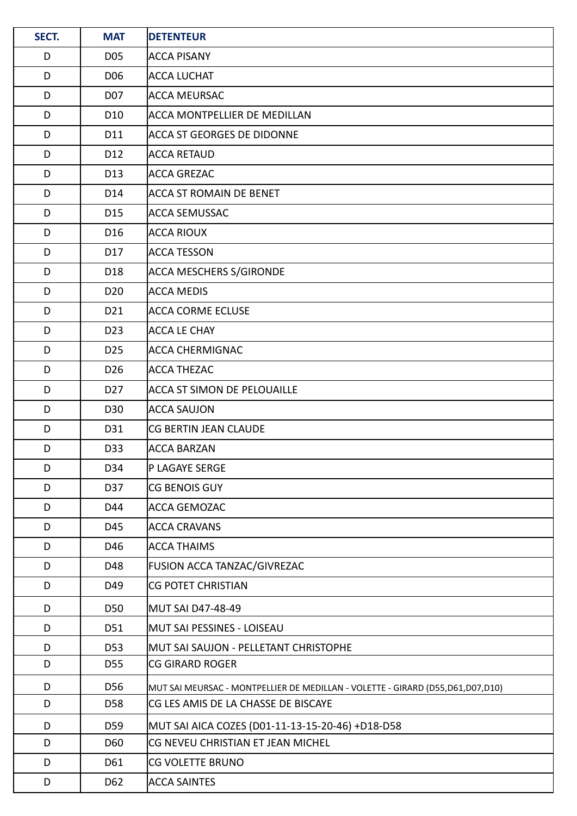| SECT. | <b>MAT</b>      | <b>DETENTEUR</b>                                                               |
|-------|-----------------|--------------------------------------------------------------------------------|
| D     | D05             | <b>ACCA PISANY</b>                                                             |
| D     | D <sub>06</sub> | <b>ACCA LUCHAT</b>                                                             |
| D     | D07             | ACCA MEURSAC                                                                   |
| D     | D <sub>10</sub> | <b>ACCA MONTPELLIER DE MEDILLAN</b>                                            |
| D     | D11             | <b>ACCA ST GEORGES DE DIDONNE</b>                                              |
| D     | D12             | <b>ACCA RETAUD</b>                                                             |
| D     | D13             | <b>ACCA GREZAC</b>                                                             |
| D     | D14             | <b>ACCA ST ROMAIN DE BENET</b>                                                 |
| D     | D15             | <b>ACCA SEMUSSAC</b>                                                           |
| D     | D16             | <b>ACCA RIOUX</b>                                                              |
| D     | D17             | <b>ACCA TESSON</b>                                                             |
| D     | D18             | <b>ACCA MESCHERS S/GIRONDE</b>                                                 |
| D     | D <sub>20</sub> | <b>ACCA MEDIS</b>                                                              |
| D     | D21             | <b>ACCA CORME ECLUSE</b>                                                       |
| D     | D <sub>23</sub> | <b>ACCA LE CHAY</b>                                                            |
| D     | D <sub>25</sub> | <b>ACCA CHERMIGNAC</b>                                                         |
| D     | D <sub>26</sub> | <b>ACCA THEZAC</b>                                                             |
| D     | D <sub>27</sub> | <b>ACCA ST SIMON DE PELOUAILLE</b>                                             |
| D     | D30             | <b>ACCA SAUJON</b>                                                             |
| D     | D31             | CG BERTIN JEAN CLAUDE                                                          |
| D     | D33             | <b>ACCA BARZAN</b>                                                             |
| D     | D34             | P LAGAYE SERGE                                                                 |
| D     | D37             | CG BENOIS GUY                                                                  |
| D     | D44             | <b>ACCA GEMOZAC</b>                                                            |
| D     | D45             | <b>ACCA CRAVANS</b>                                                            |
| D     | D46             | <b>ACCA THAIMS</b>                                                             |
| D     | D48             | FUSION ACCA TANZAC/GIVREZAC                                                    |
| D     | D49             | <b>CG POTET CHRISTIAN</b>                                                      |
| D     | D50             | MUT SAI D47-48-49                                                              |
| D     | D51             | MUT SAI PESSINES - LOISEAU                                                     |
| D     | D <sub>53</sub> | MUT SAI SAUJON - PELLETANT CHRISTOPHE                                          |
| D     | D55             | <b>CG GIRARD ROGER</b>                                                         |
| D     | D56             | MUT SAI MEURSAC - MONTPELLIER DE MEDILLAN - VOLETTE - GIRARD (D55,D61,D07,D10) |
| D     | D58             | CG LES AMIS DE LA CHASSE DE BISCAYE                                            |
| D     | D59             | MUT SAI AICA COZES (D01-11-13-15-20-46) +D18-D58                               |
| D     | D60             | CG NEVEU CHRISTIAN ET JEAN MICHEL                                              |
| D     | D61             | CG VOLETTE BRUNO                                                               |
| D     | D62             | <b>ACCA SAINTES</b>                                                            |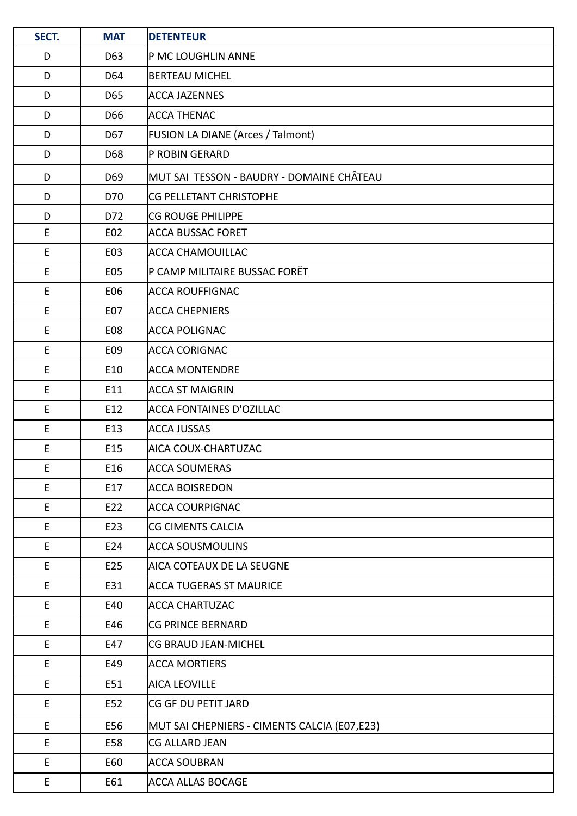| SECT.       | <b>MAT</b> | <b>DETENTEUR</b>                             |
|-------------|------------|----------------------------------------------|
| D           | D63        | P MC LOUGHLIN ANNE                           |
| D           | D64        | <b>BERTEAU MICHEL</b>                        |
| D           | D65        | <b>ACCA JAZENNES</b>                         |
| D           | D66        | <b>ACCA THENAC</b>                           |
| D           | D67        | FUSION LA DIANE (Arces / Talmont)            |
| D           | D68        | P ROBIN GERARD                               |
| D           | D69        | MUT SAI TESSON - BAUDRY - DOMAINE CHÂTEAU    |
| D           | D70        | <b>CG PELLETANT CHRISTOPHE</b>               |
| D           | D72        | <b>CG ROUGE PHILIPPE</b>                     |
| E           | E02        | <b>ACCA BUSSAC FORET</b>                     |
| E           | E03        | ACCA CHAMOUILLAC                             |
| $\mathsf E$ | E05        | P CAMP MILITAIRE BUSSAC FORËT                |
| E           | E06        | <b>ACCA ROUFFIGNAC</b>                       |
| E           | E07        | <b>ACCA CHEPNIERS</b>                        |
| E           | E08        | <b>ACCA POLIGNAC</b>                         |
| $\mathsf E$ | E09        | <b>ACCA CORIGNAC</b>                         |
| E           | E10        | <b>ACCA MONTENDRE</b>                        |
| E           | E11        | <b>ACCA ST MAIGRIN</b>                       |
| E           | E12        | <b>ACCA FONTAINES D'OZILLAC</b>              |
| $\mathsf E$ | E13        | <b>ACCA JUSSAS</b>                           |
| E           | E15        | AICA COUX-CHARTUZAC                          |
| E           | E16        | <b>ACCA SOUMERAS</b>                         |
| E           | E17        | <b>ACCA BOISREDON</b>                        |
| E           | E22        | <b>ACCA COURPIGNAC</b>                       |
| E           | E23        | CG CIMENTS CALCIA                            |
| E           | E24        | <b>ACCA SOUSMOULINS</b>                      |
| E           | E25        | AICA COTEAUX DE LA SEUGNE                    |
| $\mathsf E$ | E31        | <b>ACCA TUGERAS ST MAURICE</b>               |
| E           | E40        | <b>ACCA CHARTUZAC</b>                        |
| E.          | E46        | CG PRINCE BERNARD                            |
| $\mathsf E$ | E47        | CG BRAUD JEAN-MICHEL                         |
| E           | E49        | <b>ACCA MORTIERS</b>                         |
| E           | E51        | <b>AICA LEOVILLE</b>                         |
| E           | E52        | CG GF DU PETIT JARD                          |
| E           | E56        | MUT SAI CHEPNIERS - CIMENTS CALCIA (E07,E23) |
| E           | E58        | CG ALLARD JEAN                               |
| E           | E60        | <b>ACCA SOUBRAN</b>                          |
| E           | E61        | <b>ACCA ALLAS BOCAGE</b>                     |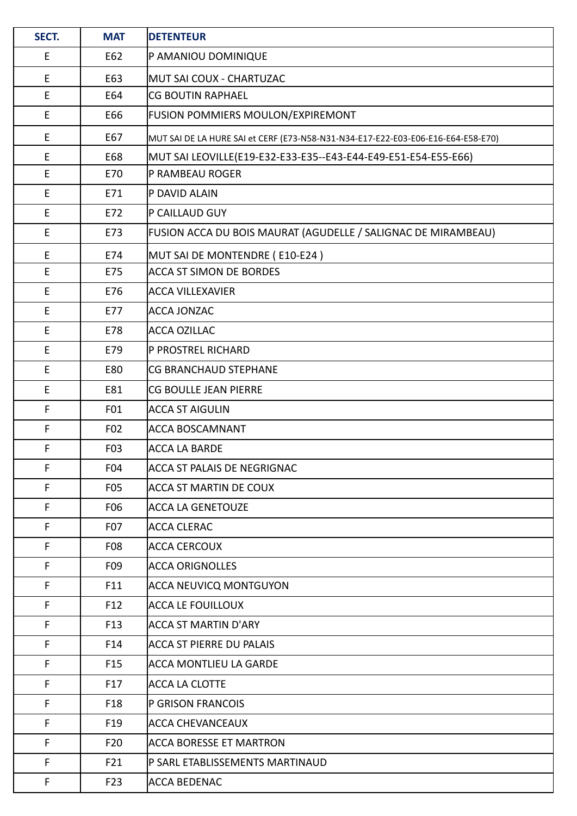| SECT.       | <b>MAT</b>       | <b>DETENTEUR</b>                                                                 |
|-------------|------------------|----------------------------------------------------------------------------------|
| E           | E62              | P AMANIOU DOMINIQUE                                                              |
| E           | E63              | MUT SAI COUX - CHARTUZAC                                                         |
| E           | E64              | <b>CG BOUTIN RAPHAEL</b>                                                         |
| $\mathsf E$ | E66              | FUSION POMMIERS MOULON/EXPIREMONT                                                |
| E           | E67              | MUT SAI DE LA HURE SAI et CERF (E73-N58-N31-N34-E17-E22-E03-E06-E16-E64-E58-E70) |
| E           | E68              | MUT SAI LEOVILLE(E19-E32-E33-E35--E43-E44-E49-E51-E54-E55-E66)                   |
| $\mathsf E$ | E70              | P RAMBEAU ROGER                                                                  |
| E           | E71              | P DAVID ALAIN                                                                    |
| E           | E72              | P CAILLAUD GUY                                                                   |
| E           | E73              | FUSION ACCA DU BOIS MAURAT (AGUDELLE / SALIGNAC DE MIRAMBEAU)                    |
| E           | E74              | MUT SAI DE MONTENDRE (E10-E24)                                                   |
| E           | E75              | <b>ACCA ST SIMON DE BORDES</b>                                                   |
| $\mathsf E$ | E76              | <b>ACCA VILLEXAVIER</b>                                                          |
| E           | E77              | <b>ACCA JONZAC</b>                                                               |
| $\mathsf E$ | E78              | ACCA OZILLAC                                                                     |
| E           | E79              | P PROSTREL RICHARD                                                               |
| E           | E80              | <b>CG BRANCHAUD STEPHANE</b>                                                     |
| E           | E81              | CG BOULLE JEAN PIERRE                                                            |
| F           | F01              | <b>ACCA ST AIGULIN</b>                                                           |
| F           | F02              | <b>ACCA BOSCAMNANT</b>                                                           |
| F           | F03              | <b>ACCA LA BARDE</b>                                                             |
| F           | F04              | ACCA ST PALAIS DE NEGRIGNAC                                                      |
| F           | F <sub>0</sub> 5 | ACCA ST MARTIN DE COUX                                                           |
| F           | F06              | <b>ACCA LA GENETOUZE</b>                                                         |
| F           | F <sub>0</sub> 7 | <b>ACCA CLERAC</b>                                                               |
| F           | F <sub>0</sub> 8 | <b>ACCA CERCOUX</b>                                                              |
| F           | F09              | <b>ACCA ORIGNOLLES</b>                                                           |
| F           | F11              | <b>ACCA NEUVICQ MONTGUYON</b>                                                    |
| F           | F12              | <b>ACCA LE FOUILLOUX</b>                                                         |
| F           | F <sub>13</sub>  | ACCA ST MARTIN D'ARY                                                             |
| F           | F14              | <b>ACCA ST PIERRE DU PALAIS</b>                                                  |
| F           | F <sub>15</sub>  | ACCA MONTLIEU LA GARDE                                                           |
| F           | F17              | <b>ACCA LA CLOTTE</b>                                                            |
| F           | F18              | P GRISON FRANCOIS                                                                |
| F           | F19              | <b>ACCA CHEVANCEAUX</b>                                                          |
| F           | F <sub>20</sub>  | <b>ACCA BORESSE ET MARTRON</b>                                                   |
| F           | F21              | P SARL ETABLISSEMENTS MARTINAUD                                                  |
| F           | F <sub>23</sub>  | ACCA BEDENAC                                                                     |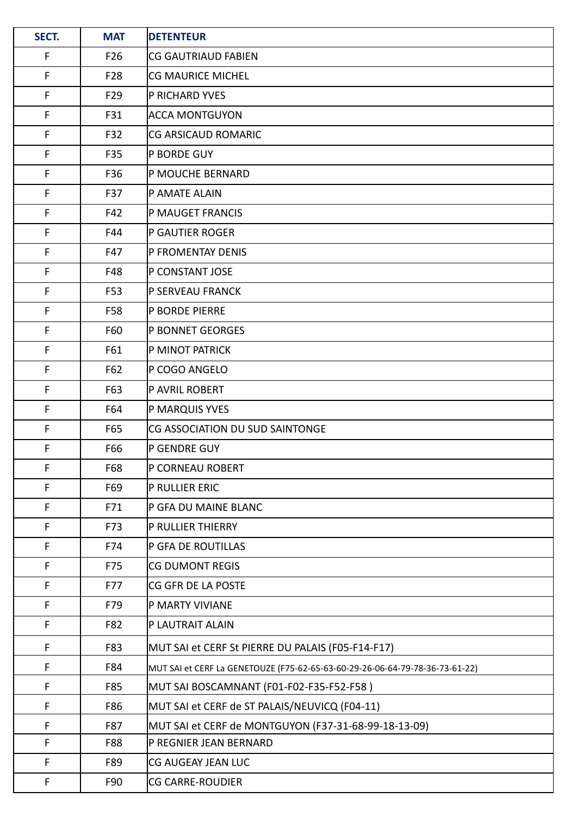| SECT.       | <b>MAT</b>      | <b>DETENTEUR</b>                                                             |
|-------------|-----------------|------------------------------------------------------------------------------|
| F           | F <sub>26</sub> | <b>CG GAUTRIAUD FABIEN</b>                                                   |
| F           | F <sub>28</sub> | <b>CG MAURICE MICHEL</b>                                                     |
| F           | F <sub>29</sub> | P RICHARD YVES                                                               |
| F           | F31             | <b>ACCA MONTGUYON</b>                                                        |
| F           | F32             | CG ARSICAUD ROMARIC                                                          |
| $\mathsf F$ | F35             | P BORDE GUY                                                                  |
| F           | F36             | P MOUCHE BERNARD                                                             |
| F           | F37             | P AMATE ALAIN                                                                |
| F           | F42             | P MAUGET FRANCIS                                                             |
| F           | F44             | P GAUTIER ROGER                                                              |
| F           | F47             | P FROMENTAY DENIS                                                            |
| F           | F48             | P CONSTANT JOSE                                                              |
| F           | F53             | P SERVEAU FRANCK                                                             |
| F           | F58             | P BORDE PIERRE                                                               |
| F           | F60             | <b>P BONNET GEORGES</b>                                                      |
| F           | F61             | P MINOT PATRICK                                                              |
| F           | F62             | P COGO ANGELO                                                                |
| F           | F63             | P AVRIL ROBERT                                                               |
| F           | F64             | P MARQUIS YVES                                                               |
| F           | F65             | CG ASSOCIATION DU SUD SAINTONGE                                              |
| F           | F66             | P GENDRE GUY                                                                 |
| F           | F68             | P CORNEAU ROBERT                                                             |
| F           | F69             | P RULLIER ERIC                                                               |
| F           | F71             | P GFA DU MAINE BLANC                                                         |
| F           | F73             | P RULLIER THIERRY                                                            |
| F           | F74             | P GFA DE ROUTILLAS                                                           |
| F           | F75             | <b>CG DUMONT REGIS</b>                                                       |
| F           | F77             | CG GFR DE LA POSTE                                                           |
| F           | F79             | P MARTY VIVIANE                                                              |
| F           | F82             | P LAUTRAIT ALAIN                                                             |
| F           | F83             | MUT SAI et CERF St PIERRE DU PALAIS (F05-F14-F17)                            |
| F           | F84             | MUT SAI et CERF La GENETOUZE (F75-62-65-63-60-29-26-06-64-79-78-36-73-61-22) |
| F           | F85             | MUT SAI BOSCAMNANT (F01-F02-F35-F52-F58 )                                    |
| F           | F86             | MUT SAI et CERF de ST PALAIS/NEUVICQ (F04-11)                                |
| F           | F87             | MUT SAI et CERF de MONTGUYON (F37-31-68-99-18-13-09)                         |
| F           | <b>F88</b>      | P REGNIER JEAN BERNARD                                                       |
| F           | F89             | CG AUGEAY JEAN LUC                                                           |
| F           | F90             | <b>CG CARRE-ROUDIER</b>                                                      |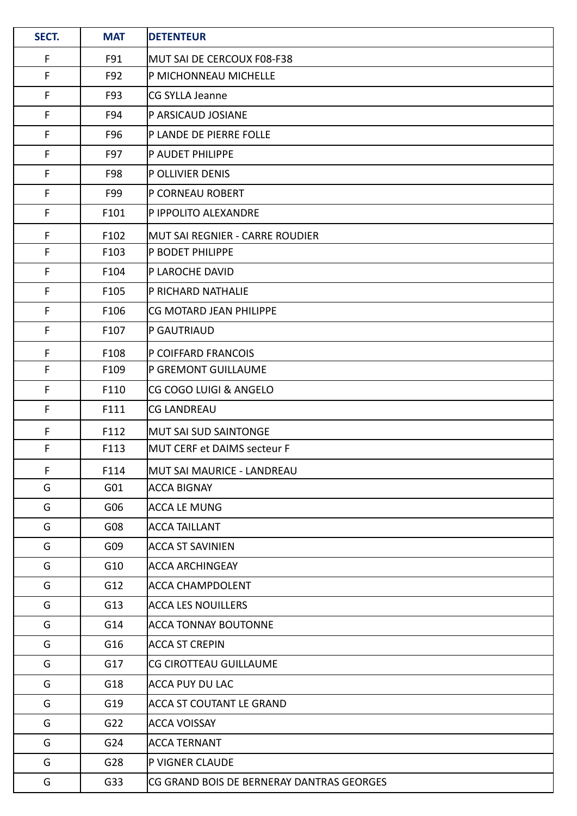| SECT. | <b>MAT</b>      | <b>DETENTEUR</b>                          |
|-------|-----------------|-------------------------------------------|
| F     | F91             | MUT SAI DE CERCOUX F08-F38                |
| F     | F92             | P MICHONNEAU MICHELLE                     |
| F     | F93             | CG SYLLA Jeanne                           |
| F     | F94             | P ARSICAUD JOSIANE                        |
| F     | F96             | P LANDE DE PIERRE FOLLE                   |
| F     | F97             | P AUDET PHILIPPE                          |
| F     | F98             | P OLLIVIER DENIS                          |
| F     | F99             | P CORNEAU ROBERT                          |
| F     | F101            | P IPPOLITO ALEXANDRE                      |
| F     | F102            | MUT SAI REGNIER - CARRE ROUDIER           |
| F     | F103            | <b>P BODET PHILIPPE</b>                   |
| F     | F104            | P LAROCHE DAVID                           |
| F     | F105            | P RICHARD NATHALIE                        |
| F     | F106            | CG MOTARD JEAN PHILIPPE                   |
| F     | F107            | P GAUTRIAUD                               |
| F     | F108            | P COIFFARD FRANCOIS                       |
| F     | F109            | P GREMONT GUILLAUME                       |
| F     | F110            | CG COGO LUIGI & ANGELO                    |
| F     | F111            | <b>CG LANDREAU</b>                        |
| F     | F112            | <b>MUT SAI SUD SAINTONGE</b>              |
| F     | F113            | MUT CERF et DAIMS secteur F               |
| F     | F114            | MUT SAI MAURICE - LANDREAU                |
| G     | G <sub>01</sub> | ACCA BIGNAY                               |
| G     | G06             | <b>ACCA LE MUNG</b>                       |
| G     | G08             | ACCA TAILLANT                             |
| G     | G09             | <b>ACCA ST SAVINIEN</b>                   |
| G     | G10             | <b>ACCA ARCHINGEAY</b>                    |
| G     | G12             | ACCA CHAMPDOLENT                          |
| G     | G13             | <b>ACCA LES NOUILLERS</b>                 |
| G     | G14             | <b>ACCA TONNAY BOUTONNE</b>               |
| G     | G16             | ACCA ST CREPIN                            |
| G     | G17             | <b>CG CIROTTEAU GUILLAUME</b>             |
| G     | G18             | ACCA PUY DU LAC                           |
| G     | G19             | ACCA ST COUTANT LE GRAND                  |
| G     | G <sub>22</sub> | <b>ACCA VOISSAY</b>                       |
| G     | G24             | ACCA TERNANT                              |
| G     | G28             | P VIGNER CLAUDE                           |
| G     | G33             | CG GRAND BOIS DE BERNERAY DANTRAS GEORGES |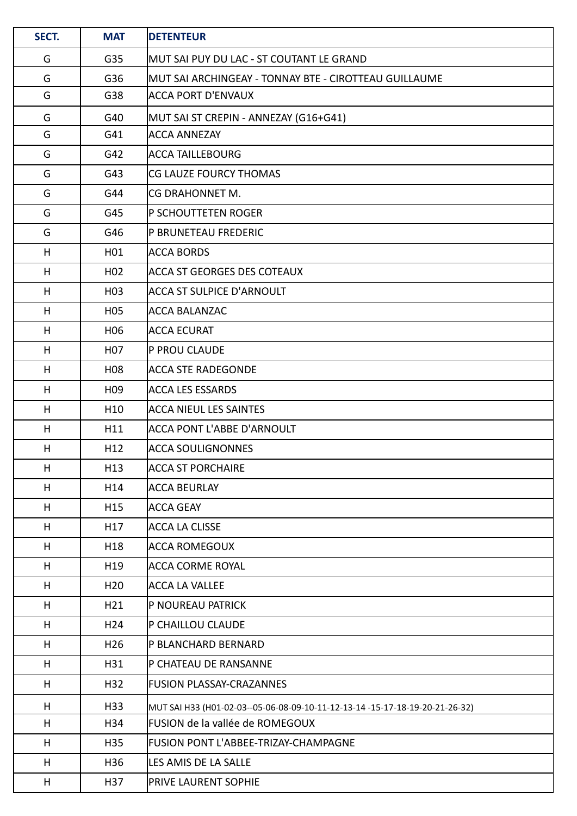| SECT. | <b>MAT</b>       | <b>DETENTEUR</b>                                                             |
|-------|------------------|------------------------------------------------------------------------------|
| G     | G35              | MUT SAI PUY DU LAC - ST COUTANT LE GRAND                                     |
| G     | G36              | MUT SAI ARCHINGEAY - TONNAY BTE - CIROTTEAU GUILLAUME                        |
| G     | G38              | <b>ACCA PORT D'ENVAUX</b>                                                    |
| G     | G40              | MUT SAI ST CREPIN - ANNEZAY (G16+G41)                                        |
| G     | G41              | <b>ACCA ANNEZAY</b>                                                          |
| G     | G42              | <b>ACCA TAILLEBOURG</b>                                                      |
| G     | G43              | CG LAUZE FOURCY THOMAS                                                       |
| G     | G44              | CG DRAHONNET M.                                                              |
| G     | G45              | P SCHOUTTETEN ROGER                                                          |
| G     | G46              | <b>P BRUNETEAU FREDERIC</b>                                                  |
| H     | H01              | <b>ACCA BORDS</b>                                                            |
| H     | H <sub>02</sub>  | <b>ACCA ST GEORGES DES COTEAUX</b>                                           |
| H     | H <sub>0</sub> 3 | <b>ACCA ST SULPICE D'ARNOULT</b>                                             |
| H     | H <sub>05</sub>  | <b>ACCA BALANZAC</b>                                                         |
| H     | H <sub>06</sub>  | <b>ACCA ECURAT</b>                                                           |
| H     | H <sub>0</sub> 7 | P PROU CLAUDE                                                                |
| H     | H <sub>0</sub> 8 | <b>ACCA STE RADEGONDE</b>                                                    |
| H     | H <sub>09</sub>  | <b>ACCA LES ESSARDS</b>                                                      |
| H     | H <sub>10</sub>  | <b>ACCA NIEUL LES SAINTES</b>                                                |
| H     | H11              | <b>ACCA PONT L'ABBE D'ARNOULT</b>                                            |
| H     | H12              | <b>ACCA SOULIGNONNES</b>                                                     |
| H     | H13              | <b>ACCA ST PORCHAIRE</b>                                                     |
| H     | H14              | <b>ACCA BEURLAY</b>                                                          |
| H     | H <sub>15</sub>  | <b>ACCA GEAY</b>                                                             |
| H     | H17              | <b>ACCA LA CLISSE</b>                                                        |
| H     | H18              | <b>ACCA ROMEGOUX</b>                                                         |
| H     | H19              | <b>ACCA CORME ROYAL</b>                                                      |
| H     | H <sub>20</sub>  | <b>ACCA LA VALLEE</b>                                                        |
| H     | H21              | P NOUREAU PATRICK                                                            |
| H     | H <sub>24</sub>  | P CHAILLOU CLAUDE                                                            |
| H     | H <sub>26</sub>  | P BLANCHARD BERNARD                                                          |
| H     | H31              | P CHATEAU DE RANSANNE                                                        |
| H     | H32              | <b>FUSION PLASSAY-CRAZANNES</b>                                              |
| H     | H33              | MUT SAI H33 (H01-02-03--05-06-08-09-10-11-12-13-14 -15-17-18-19-20-21-26-32) |
| H     | H34              | FUSION de la vallée de ROMEGOUX                                              |
| H     | H35              | FUSION PONT L'ABBEE-TRIZAY-CHAMPAGNE                                         |
| H     | H36              | LES AMIS DE LA SALLE                                                         |
| H     | H37              | PRIVE LAURENT SOPHIE                                                         |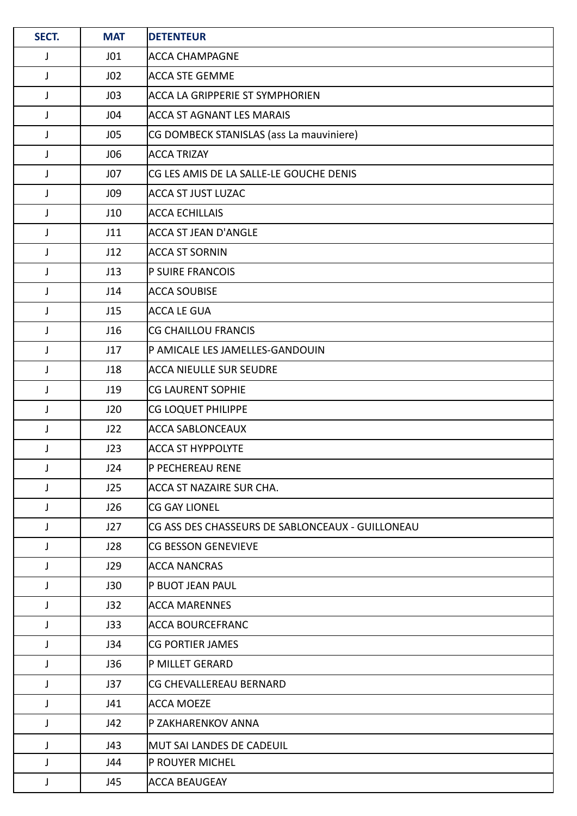| SECT.        | <b>MAT</b>      | <b>DETENTEUR</b>                                 |
|--------------|-----------------|--------------------------------------------------|
| J            | J01             | ACCA CHAMPAGNE                                   |
| J            | J <sub>02</sub> | <b>ACCA STE GEMME</b>                            |
| J            | J03             | ACCA LA GRIPPERIE ST SYMPHORIEN                  |
| J            | J04             | <b>ACCA ST AGNANT LES MARAIS</b>                 |
| J            | J05             | CG DOMBECK STANISLAS (ass La mauviniere)         |
| J            | J06             | <b>ACCA TRIZAY</b>                               |
| J            | J07             | CG LES AMIS DE LA SALLE-LE GOUCHE DENIS          |
| J            | J09             | ACCA ST JUST LUZAC                               |
| $\mathsf{J}$ | J10             | <b>ACCA ECHILLAIS</b>                            |
| J            | J11             | ACCA ST JEAN D'ANGLE                             |
| J            | J12             | <b>ACCA ST SORNIN</b>                            |
| $\mathsf{J}$ | J13             | P SUIRE FRANCOIS                                 |
| J            | J14             | ACCA SOUBISE                                     |
| J            | J15             | <b>ACCA LE GUA</b>                               |
| J            | J16             | CG CHAILLOU FRANCIS                              |
| $\mathsf{J}$ | J17             | P AMICALE LES JAMELLES-GANDOUIN                  |
| $\mathsf{J}$ | J18             | <b>ACCA NIEULLE SUR SEUDRE</b>                   |
| J            | J19             | <b>CG LAURENT SOPHIE</b>                         |
| J            | J20             | CG LOQUET PHILIPPE                               |
| J            | J22             | <b>ACCA SABLONCEAUX</b>                          |
| J            | J23             | <b>ACCA ST HYPPOLYTE</b>                         |
| J            | J24             | P PECHEREAU RENE                                 |
| J            | J25             | ACCA ST NAZAIRE SUR CHA.                         |
| J            | J26             | <b>CG GAY LIONEL</b>                             |
| J            | J27             | CG ASS DES CHASSEURS DE SABLONCEAUX - GUILLONEAU |
| J            | J28             | CG BESSON GENEVIEVE                              |
| J            | J29             | <b>ACCA NANCRAS</b>                              |
| J            | J30             | P BUOT JEAN PAUL                                 |
| J            | J32             | <b>ACCA MARENNES</b>                             |
| J            | J33             | <b>ACCA BOURCEFRANC</b>                          |
| J            | J34             | <b>CG PORTIER JAMES</b>                          |
| J            | J36             | P MILLET GERARD                                  |
| J            | J37             | CG CHEVALLEREAU BERNARD                          |
| J            | J41             | <b>ACCA MOEZE</b>                                |
| J            | J42             | P ZAKHARENKOV ANNA                               |
| J            | J43             | MUT SAI LANDES DE CADEUIL                        |
| J            | J44             | P ROUYER MICHEL                                  |
| J            | J45             | <b>ACCA BEAUGEAY</b>                             |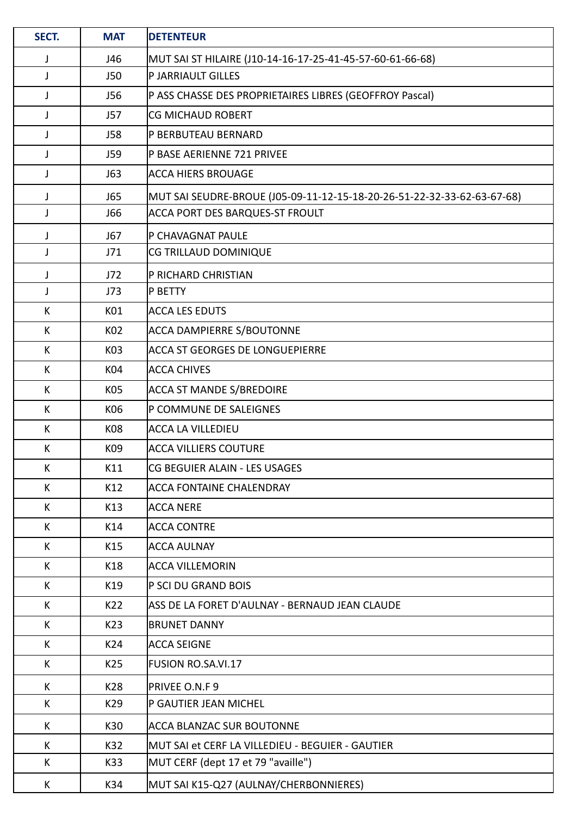| SECT.        | <b>MAT</b> | <b>DETENTEUR</b>                                                        |
|--------------|------------|-------------------------------------------------------------------------|
| J            | J46        | MUT SAI ST HILAIRE (J10-14-16-17-25-41-45-57-60-61-66-68)               |
| J            | <b>J50</b> | P JARRIAULT GILLES                                                      |
| $\mathsf{J}$ | J56        | P ASS CHASSE DES PROPRIETAIRES LIBRES (GEOFFROY Pascal)                 |
| J            | J57        | <b>CG MICHAUD ROBERT</b>                                                |
| J            | <b>J58</b> | P BERBUTEAU BERNARD                                                     |
| J            | J59        | P BASE AERIENNE 721 PRIVEE                                              |
| J            | J63        | ACCA HIERS BROUAGE                                                      |
| J            | J65        | MUT SAI SEUDRE-BROUE (J05-09-11-12-15-18-20-26-51-22-32-33-62-63-67-68) |
| J            | <b>J66</b> | <b>ACCA PORT DES BARQUES-ST FROULT</b>                                  |
| J            | J67        | P CHAVAGNAT PAULE                                                       |
| J            | J71        | CG TRILLAUD DOMINIQUE                                                   |
| J            | J72        | P RICHARD CHRISTIAN                                                     |
| J            | J73        | <b>P BETTY</b>                                                          |
| K            | K01        | <b>ACCA LES EDUTS</b>                                                   |
| K            | K02        | <b>ACCA DAMPIERRE S/BOUTONNE</b>                                        |
| K            | K03        | ACCA ST GEORGES DE LONGUEPIERRE                                         |
| K            | K04        | <b>ACCA CHIVES</b>                                                      |
| K            | K05        | <b>ACCA ST MANDE S/BREDOIRE</b>                                         |
| K            | K06        | P COMMUNE DE SALEIGNES                                                  |
| K            | K08        | ACCA LA VILLEDIEU                                                       |
| К            | K09        | ACCA VILLIERS COUTURE                                                   |
| K            | K11        | CG BEGUIER ALAIN - LES USAGES                                           |
| K            | K12        | <b>ACCA FONTAINE CHALENDRAY</b>                                         |
| K            | K13        | <b>ACCA NERE</b>                                                        |
| K            | K14        | ACCA CONTRE                                                             |
| K            | K15        | <b>ACCA AULNAY</b>                                                      |
| K            | K18        | <b>ACCA VILLEMORIN</b>                                                  |
| K            | K19        | P SCI DU GRAND BOIS                                                     |
| K            | K22        | ASS DE LA FORET D'AULNAY - BERNAUD JEAN CLAUDE                          |
| K            | K23        | <b>BRUNET DANNY</b>                                                     |
| K            | K24        | <b>ACCA SEIGNE</b>                                                      |
| K            | K25        | <b>FUSION RO.SA.VI.17</b>                                               |
| K            | K28        | PRIVEE O.N.F 9                                                          |
| K            | K29        | P GAUTIER JEAN MICHEL                                                   |
| K            | K30        | ACCA BLANZAC SUR BOUTONNE                                               |
| К            | K32        | MUT SAI et CERF LA VILLEDIEU - BEGUIER - GAUTIER                        |
| K            | K33        | MUT CERF (dept 17 et 79 "availle")                                      |
| K            | K34        | MUT SAI K15-Q27 (AULNAY/CHERBONNIERES)                                  |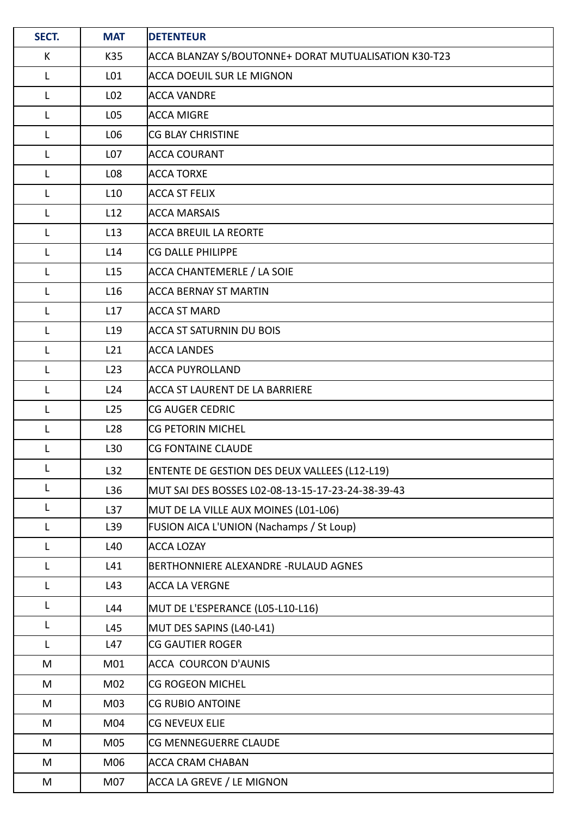| SECT.        | <b>MAT</b>      | <b>DETENTEUR</b>                                     |
|--------------|-----------------|------------------------------------------------------|
| K            | K35             | ACCA BLANZAY S/BOUTONNE+ DORAT MUTUALISATION K30-T23 |
| L            | L01             | <b>ACCA DOEUIL SUR LE MIGNON</b>                     |
| L            | L <sub>02</sub> | <b>ACCA VANDRE</b>                                   |
| L            | L05             | <b>ACCA MIGRE</b>                                    |
| L            | L06             | <b>CG BLAY CHRISTINE</b>                             |
| L            | L <sub>07</sub> | ACCA COURANT                                         |
| L            | L08             | <b>ACCA TORXE</b>                                    |
| L            | L <sub>10</sub> | <b>ACCA ST FELIX</b>                                 |
| $\mathsf{L}$ | L12             | <b>ACCA MARSAIS</b>                                  |
| L            | L13             | <b>ACCA BREUIL LA REORTE</b>                         |
| L            | L14             | <b>CG DALLE PHILIPPE</b>                             |
| $\mathsf{L}$ | L15             | ACCA CHANTEMERLE / LA SOIE                           |
| L            | L <sub>16</sub> | <b>ACCA BERNAY ST MARTIN</b>                         |
| L            | L17             | <b>ACCA ST MARD</b>                                  |
| L            | L <sub>19</sub> | <b>ACCA ST SATURNIN DU BOIS</b>                      |
| L            | L21             | <b>ACCA LANDES</b>                                   |
| $\mathsf{L}$ | L23             | <b>ACCA PUYROLLAND</b>                               |
| L            | L24             | <b>ACCA ST LAURENT DE LA BARRIERE</b>                |
| L            | L25             | <b>CG AUGER CEDRIC</b>                               |
| $\mathsf{L}$ | L <sub>28</sub> | <b>CG PETORIN MICHEL</b>                             |
| L            | L30             | <b>CG FONTAINE CLAUDE</b>                            |
| $\mathsf{L}$ | L32             | ENTENTE DE GESTION DES DEUX VALLEES (L12-L19)        |
| L            | L36             | MUT SAI DES BOSSES L02-08-13-15-17-23-24-38-39-43    |
| L            | L37             | MUT DE LA VILLE AUX MOINES (L01-L06)                 |
| L            | L39             | FUSION AICA L'UNION (Nachamps / St Loup)             |
| L            | L40             | <b>ACCA LOZAY</b>                                    |
| L            | L41             | BERTHONNIERE ALEXANDRE - RULAUD AGNES                |
| L            | L43             | <b>ACCA LA VERGNE</b>                                |
| L            | L44             | MUT DE L'ESPERANCE (L05-L10-L16)                     |
| $\mathsf{L}$ | L45             | MUT DES SAPINS (L40-L41)                             |
| L            | L47             | <b>CG GAUTIER ROGER</b>                              |
| M            | M01             | ACCA COURCON D'AUNIS                                 |
| M            | M02             | <b>CG ROGEON MICHEL</b>                              |
| M            | M03             | <b>CG RUBIO ANTOINE</b>                              |
| M            | M04             | <b>CG NEVEUX ELIE</b>                                |
| M            | M05             | CG MENNEGUERRE CLAUDE                                |
| M            | M06             | ACCA CRAM CHABAN                                     |
| M            | M07             | ACCA LA GREVE / LE MIGNON                            |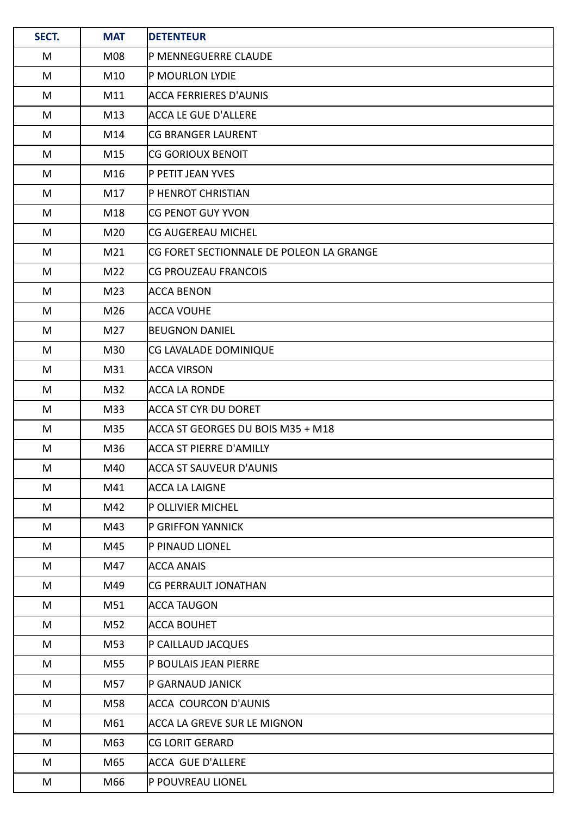| SECT. | <b>MAT</b>      | <b>DETENTEUR</b>                         |
|-------|-----------------|------------------------------------------|
| M     | M08             | P MENNEGUERRE CLAUDE                     |
| M     | M10             | P MOURLON LYDIE                          |
| M     | M11             | ACCA FERRIERES D'AUNIS                   |
| M     | M13             | <b>ACCA LE GUE D'ALLERE</b>              |
| M     | M14             | <b>CG BRANGER LAURENT</b>                |
| M     | M15             | <b>CG GORIOUX BENOIT</b>                 |
| M     | M16             | P PETIT JEAN YVES                        |
| M     | M17             | P HENROT CHRISTIAN                       |
| M     | M18             | CG PENOT GUY YVON                        |
| M     | M20             | lCG AUGEREAU MICHEL                      |
| M     | M21             | CG FORET SECTIONNALE DE POLEON LA GRANGE |
| M     | M22             | <b>CG PROUZEAU FRANCOIS</b>              |
| M     | M <sub>23</sub> | <b>ACCA BENON</b>                        |
| M     | M26             | <b>ACCA VOUHE</b>                        |
| M     | M27             | <b>BEUGNON DANIEL</b>                    |
| M     | M30             | CG LAVALADE DOMINIQUE                    |
| M     | M31             | <b>ACCA VIRSON</b>                       |
| M     | M32             | ACCA LA RONDE                            |
| M     | M33             | ACCA ST CYR DU DORET                     |
| M     | M35             | ACCA ST GEORGES DU BOIS M35 + M18        |
| M     | M36             | ACCA ST PIERRE D'AMILLY                  |
| M     | M40             | <b>ACCA ST SAUVEUR D'AUNIS</b>           |
| M     | M41             | ACCA LA LAIGNE                           |
| M     | M42             | P OLLIVIER MICHEL                        |
| M     | M43             | <b>P GRIFFON YANNICK</b>                 |
| M     | M45             | P PINAUD LIONEL                          |
| M     | M47             | ACCA ANAIS                               |
| M     | M49             | <b>CG PERRAULT JONATHAN</b>              |
| M     | M51             | <b>ACCA TAUGON</b>                       |
| M     | M52             | ACCA BOUHET                              |
| M     | M53             | P CAILLAUD JACQUES                       |
| M     | M55             | P BOULAIS JEAN PIERRE                    |
| M     | M57             | P GARNAUD JANICK                         |
| M     | M58             | ACCA COURCON D'AUNIS                     |
| M     | M61             | ACCA LA GREVE SUR LE MIGNON              |
| M     | M63             | <b>CG LORIT GERARD</b>                   |
| M     | M65             | ACCA GUE D'ALLERE                        |
| M     | M66             | P POUVREAU LIONEL                        |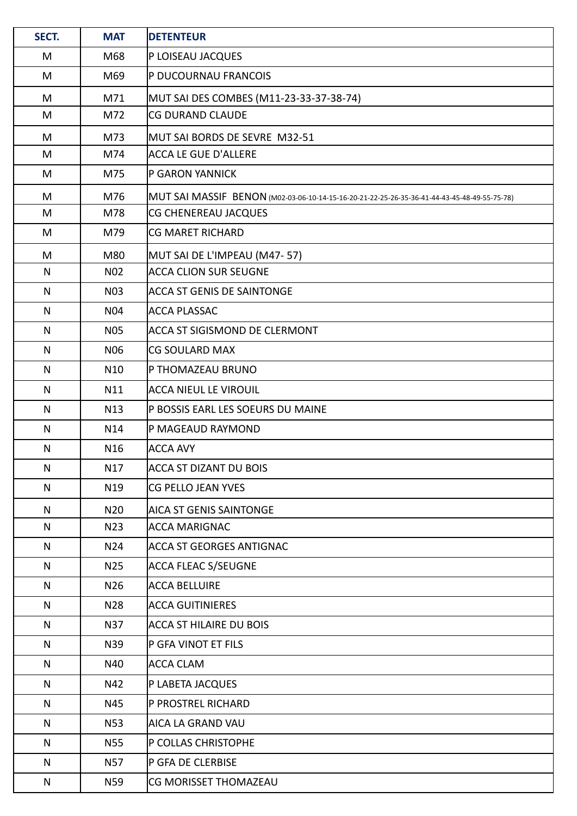| SECT.        | <b>MAT</b>       | <b>DETENTEUR</b>                                                                             |  |  |  |
|--------------|------------------|----------------------------------------------------------------------------------------------|--|--|--|
| M            | M68              | P LOISEAU JACQUES                                                                            |  |  |  |
| M            | M69              | P DUCOURNAU FRANCOIS                                                                         |  |  |  |
| M            | M71              | MUT SAI DES COMBES (M11-23-33-37-38-74)                                                      |  |  |  |
| M            | M72              | <b>CG DURAND CLAUDE</b>                                                                      |  |  |  |
| M            | M73              | MUT SAI BORDS DE SEVRE M32-51                                                                |  |  |  |
| M            | M74              | <b>ACCA LE GUE D'ALLERE</b>                                                                  |  |  |  |
| M            | M75              | P GARON YANNICK                                                                              |  |  |  |
| M            | M76              | MUT SAI MASSIF BENON (M02-03-06-10-14-15-16-20-21-22-25-26-35-36-41-44-43-45-48-49-55-75-78) |  |  |  |
| M            | M78              | CG CHENEREAU JACQUES                                                                         |  |  |  |
| M            | M79              | <b>CG MARET RICHARD</b>                                                                      |  |  |  |
| M            | M80              | MUT SAI DE L'IMPEAU (M47- 57)                                                                |  |  |  |
| N            | N <sub>0</sub> 2 | <b>ACCA CLION SUR SEUGNE</b>                                                                 |  |  |  |
| $\mathsf{N}$ | <b>N03</b>       | <b>ACCA ST GENIS DE SAINTONGE</b>                                                            |  |  |  |
| N            | <b>N04</b>       | <b>ACCA PLASSAC</b>                                                                          |  |  |  |
| N            | <b>N05</b>       | <b>ACCA ST SIGISMOND DE CLERMONT</b>                                                         |  |  |  |
| N            | <b>N06</b>       | <b>CG SOULARD MAX</b>                                                                        |  |  |  |
| N            | N10              | P THOMAZEAU BRUNO                                                                            |  |  |  |
| $\mathsf{N}$ | N11              | <b>ACCA NIEUL LE VIROUIL</b>                                                                 |  |  |  |
| N            | N13              | P BOSSIS EARL LES SOEURS DU MAINE                                                            |  |  |  |
| $\mathsf{N}$ | N14              | P MAGEAUD RAYMOND                                                                            |  |  |  |
| $\mathsf{N}$ | N <sub>16</sub>  | <b>ACCA AVY</b>                                                                              |  |  |  |
| ${\sf N}$    | N17              | <b>ACCA ST DIZANT DU BOIS</b>                                                                |  |  |  |
| N            | N19              | CG PELLO JEAN YVES                                                                           |  |  |  |
| N            | N <sub>20</sub>  | <b>AICA ST GENIS SAINTONGE</b>                                                               |  |  |  |
| N            | N23              | <b>ACCA MARIGNAC</b>                                                                         |  |  |  |
| N            | N24              | <b>ACCA ST GEORGES ANTIGNAC</b>                                                              |  |  |  |
| N            | N <sub>25</sub>  | <b>ACCA FLEAC S/SEUGNE</b>                                                                   |  |  |  |
| N            | N26              | <b>ACCA BELLUIRE</b>                                                                         |  |  |  |
| N            | N28              | <b>ACCA GUITINIERES</b>                                                                      |  |  |  |
| N            | N37              | <b>ACCA ST HILAIRE DU BOIS</b>                                                               |  |  |  |
| N            | N39              | P GFA VINOT ET FILS                                                                          |  |  |  |
| N            | N40              | <b>ACCA CLAM</b>                                                                             |  |  |  |
| N            | N42              | P LABETA JACQUES                                                                             |  |  |  |
| N            | N45              | P PROSTREL RICHARD                                                                           |  |  |  |
| $\mathsf{N}$ | <b>N53</b>       | <b>AICA LA GRAND VAU</b>                                                                     |  |  |  |
| N            | <b>N55</b>       | P COLLAS CHRISTOPHE                                                                          |  |  |  |
| N            | <b>N57</b>       | P GFA DE CLERBISE                                                                            |  |  |  |
| N            | N59              | CG MORISSET THOMAZEAU                                                                        |  |  |  |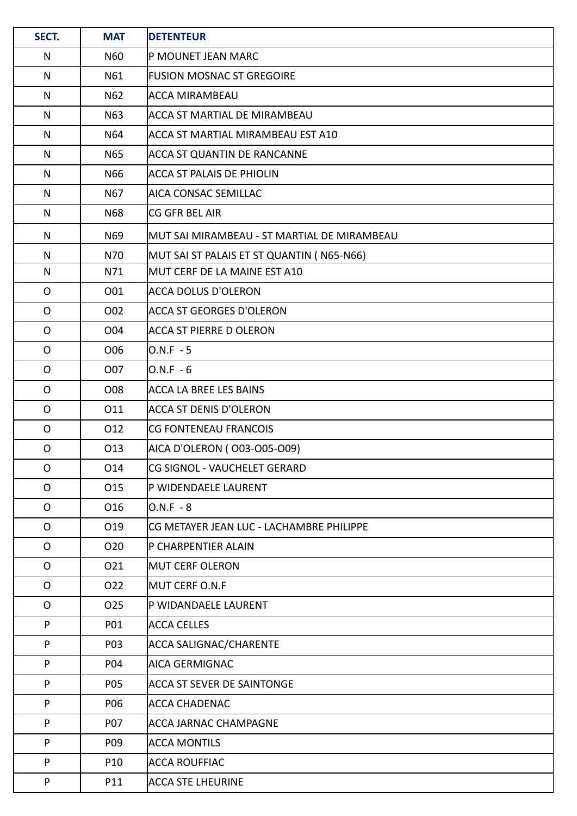| SECT.        | <b>MAT</b>      | <b>DETENTEUR</b>                            |
|--------------|-----------------|---------------------------------------------|
| N            | <b>N60</b>      | P MOUNET JEAN MARC                          |
| $\mathsf{N}$ | N61             | <b>FUSION MOSNAC ST GREGOIRE</b>            |
| N            | N <sub>62</sub> | <b>ACCA MIRAMBEAU</b>                       |
| N            | N63             | ACCA ST MARTIAL DE MIRAMBEAU                |
| N            | N64             | ACCA ST MARTIAL MIRAMBEAU EST A10           |
| N            | N65             | <b>ACCA ST QUANTIN DE RANCANNE</b>          |
| $\mathsf{N}$ | N66             | <b>ACCA ST PALAIS DE PHIOLIN</b>            |
| N            | N67             | AICA CONSAC SEMILLAC                        |
| N            | <b>N68</b>      | CG GFR BEL AIR                              |
| N            | N69             | MUT SAI MIRAMBEAU - ST MARTIAL DE MIRAMBEAU |
| ${\sf N}$    | N70             | MUT SAI ST PALAIS ET ST QUANTIN ( N65-N66)  |
| N            | N71             | MUT CERF DE LA MAINE EST A10                |
| $\mathsf{O}$ | O01             | ACCA DOLUS D'OLERON                         |
| $\mathsf{O}$ | O02             | ACCA ST GEORGES D'OLERON                    |
| $\mathsf{O}$ | O04             | ACCA ST PIERRE D OLERON                     |
| $\mathsf{O}$ | O06             | $O.N.F - 5$                                 |
| $\mathsf{O}$ | O07             | $O.N.F - 6$                                 |
| $\mathsf{O}$ | O08             | <b>ACCA LA BREE LES BAINS</b>               |
| $\mathsf{O}$ | 011             | ACCA ST DENIS D'OLERON                      |
| $\mathsf{O}$ | 012             | CG FONTENEAU FRANCOIS                       |
| $\mathsf O$  | O13             | AICA D'OLERON (003-005-009)                 |
| $\mathsf{O}$ | O14             | CG SIGNOL - VAUCHELET GERARD                |
| O            | O15             | P WIDENDAELE LAURENT                        |
| $\mathsf{O}$ | O16             | O.N.F - 8                                   |
| O            | O19             | CG METAYER JEAN LUC - LACHAMBRE PHILIPPE    |
| O            | O <sub>20</sub> | P CHARPENTIER ALAIN                         |
| $\mathsf{O}$ | O21             | <b>MUT CERF OLERON</b>                      |
| $\mathsf{O}$ | O22             | MUT CERF O.N.F                              |
| $\mathsf{O}$ | O <sub>25</sub> | P WIDANDAELE LAURENT                        |
| P            | P01             | <b>ACCA CELLES</b>                          |
| P            | P03             | <b>ACCA SALIGNAC/CHARENTE</b>               |
| P            | P04             | AICA GERMIGNAC                              |
| P            | P05             | <b>ACCA ST SEVER DE SAINTONGE</b>           |
| P            | P06             | ACCA CHADENAC                               |
| P            | P07             | <b>ACCA JARNAC CHAMPAGNE</b>                |
| P            | P09             | <b>ACCA MONTILS</b>                         |
| P            | P10             | ACCA ROUFFIAC                               |
| P            | P11             | <b>ACCA STE LHEURINE</b>                    |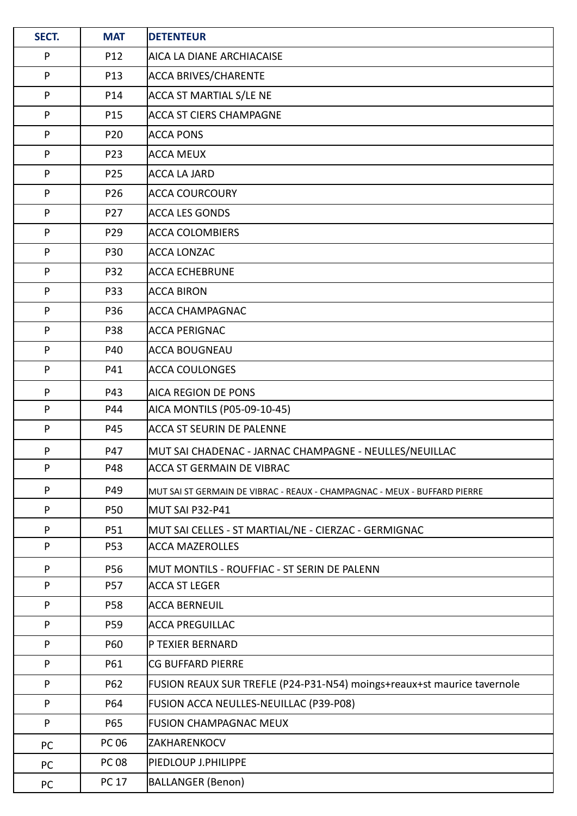| SECT.        | <b>MAT</b>      | <b>DETENTEUR</b>                                                          |  |  |  |
|--------------|-----------------|---------------------------------------------------------------------------|--|--|--|
| ${\sf P}$    | P12             | <b>AICA LA DIANE ARCHIACAISE</b>                                          |  |  |  |
| ${\sf P}$    | P13             | <b>ACCA BRIVES/CHARENTE</b>                                               |  |  |  |
| ${\sf P}$    | P14             | ACCA ST MARTIAL S/LE NE                                                   |  |  |  |
| $\mathsf{P}$ | P15             | <b>ACCA ST CIERS CHAMPAGNE</b>                                            |  |  |  |
| P            | P20             | <b>ACCA PONS</b>                                                          |  |  |  |
| ${\sf P}$    | P23             | <b>ACCA MEUX</b>                                                          |  |  |  |
| P            | P25             | <b>ACCA LA JARD</b>                                                       |  |  |  |
| P            | P26             | <b>ACCA COURCOURY</b>                                                     |  |  |  |
| P            | P27             | <b>ACCA LES GONDS</b>                                                     |  |  |  |
| ${\sf P}$    | P29             | <b>ACCA COLOMBIERS</b>                                                    |  |  |  |
| P            | P30             | <b>ACCA LONZAC</b>                                                        |  |  |  |
| $\mathsf{P}$ | P32             | <b>ACCA ECHEBRUNE</b>                                                     |  |  |  |
| P            | P33             | <b>ACCA BIRON</b>                                                         |  |  |  |
| $\mathsf{P}$ | P36             | <b>ACCA CHAMPAGNAC</b>                                                    |  |  |  |
| P            | P38             | <b>ACCA PERIGNAC</b>                                                      |  |  |  |
| P            | P40             | ACCA BOUGNEAU                                                             |  |  |  |
| P            | P41             | <b>ACCA COULONGES</b>                                                     |  |  |  |
| ${\sf P}$    | P43             | <b>AICA REGION DE PONS</b>                                                |  |  |  |
| P            | P44             | AICA MONTILS (P05-09-10-45)                                               |  |  |  |
| P            | P45             | <b>ACCA ST SEURIN DE PALENNE</b>                                          |  |  |  |
| ${\sf P}$    | P47             | MUT SAI CHADENAC - JARNAC CHAMPAGNE - NEULLES/NEUILLAC                    |  |  |  |
| P            | P48             | <b>ACCA ST GERMAIN DE VIBRAC</b>                                          |  |  |  |
| P            | P49             | MUT SAI ST GERMAIN DE VIBRAC - REAUX - CHAMPAGNAC - MEUX - BUFFARD PIERRE |  |  |  |
| ${\sf P}$    | <b>P50</b>      | MUT SAI P32-P41                                                           |  |  |  |
| P            | P51             | MUT SAI CELLES - ST MARTIAL/NE - CIERZAC - GERMIGNAC                      |  |  |  |
| ${\sf P}$    | P <sub>53</sub> | <b>ACCA MAZEROLLES</b>                                                    |  |  |  |
| P            | P56             | MUT MONTILS - ROUFFIAC - ST SERIN DE PALENN                               |  |  |  |
| P            | P57             | <b>ACCA ST LEGER</b>                                                      |  |  |  |
| P            | P58             | <b>ACCA BERNEUIL</b>                                                      |  |  |  |
| P            | P59             | <b>ACCA PREGUILLAC</b>                                                    |  |  |  |
| P            | P60             | P TEXIER BERNARD                                                          |  |  |  |
| P            | P61             | <b>CG BUFFARD PIERRE</b>                                                  |  |  |  |
| P            | P62             | FUSION REAUX SUR TREFLE (P24-P31-N54) moings+reaux+st maurice tavernole   |  |  |  |
| P            | P64             | FUSION ACCA NEULLES-NEUILLAC (P39-P08)                                    |  |  |  |
| P            | P65             | <b>FUSION CHAMPAGNAC MEUX</b>                                             |  |  |  |
| PC           | <b>PC 06</b>    | ZAKHARENKOCV                                                              |  |  |  |
| PC           | <b>PC 08</b>    | PIEDLOUP J.PHILIPPE                                                       |  |  |  |
| PC           | <b>PC 17</b>    | <b>BALLANGER (Benon)</b>                                                  |  |  |  |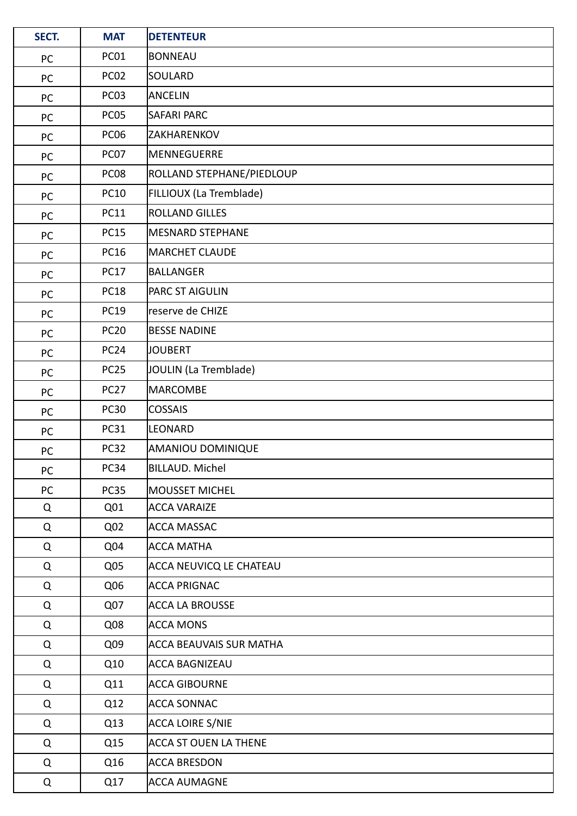| SECT. | <b>MAT</b>       | <b>DETENTEUR</b>               |
|-------|------------------|--------------------------------|
| PC    | PC01             | <b>BONNEAU</b>                 |
| PC    | PC <sub>02</sub> | SOULARD                        |
| PC    | PC <sub>03</sub> | ANCELIN                        |
| PC    | PC05             | <b>SAFARI PARC</b>             |
| PC    | PC <sub>06</sub> | ZAKHARENKOV                    |
| PC    | PC07             | MENNEGUERRE                    |
| PC    | PC <sub>08</sub> | ROLLAND STEPHANE/PIEDLOUP      |
| PC    | <b>PC10</b>      | FILLIOUX (La Tremblade)        |
| PC    | <b>PC11</b>      | <b>ROLLAND GILLES</b>          |
| PC    | <b>PC15</b>      | <b>MESNARD STEPHANE</b>        |
| PC    | <b>PC16</b>      | MARCHET CLAUDE                 |
| PC    | <b>PC17</b>      | BALLANGER                      |
| PC    | <b>PC18</b>      | <b>PARC ST AIGULIN</b>         |
| PC    | <b>PC19</b>      | reserve de CHIZE               |
| PC    | <b>PC20</b>      | <b>BESSE NADINE</b>            |
| PC    | PC <sub>24</sub> | <b>JOUBERT</b>                 |
| PC    | <b>PC25</b>      | JOULIN (La Tremblade)          |
| PC    | PC <sub>27</sub> | MARCOMBE                       |
| PC    | <b>PC30</b>      | <b>COSSAIS</b>                 |
| PC    | <b>PC31</b>      | LEONARD                        |
| PC    | <b>PC32</b>      | AMANIOU DOMINIQUE              |
| PC    | PC34             | BILLAUD. Michel                |
| PC    | <b>PC35</b>      | MOUSSET MICHEL                 |
| Q     | Q01              | <b>ACCA VARAIZE</b>            |
| Q     | Q <sub>02</sub>  | ACCA MASSAC                    |
| Q     | Q <sub>04</sub>  | <b>ACCA MATHA</b>              |
| Q     | Q <sub>05</sub>  | ACCA NEUVICQ LE CHATEAU        |
| Q     | Q06              | <b>ACCA PRIGNAC</b>            |
| Q     | Q07              | <b>ACCA LA BROUSSE</b>         |
| Q     | Q <sub>08</sub>  | <b>ACCA MONS</b>               |
| Q     | Q09              | <b>ACCA BEAUVAIS SUR MATHA</b> |
| Q     | Q10              | ACCA BAGNIZEAU                 |
| Q     | Q11              | <b>ACCA GIBOURNE</b>           |
| Q     | Q12              | ACCA SONNAC                    |
| Q     | Q13              | ACCA LOIRE S/NIE               |
| Q     | Q15              | <b>ACCA ST OUEN LA THENE</b>   |
| Q     | Q16              | <b>ACCA BRESDON</b>            |
| Q     | Q17              | <b>ACCA AUMAGNE</b>            |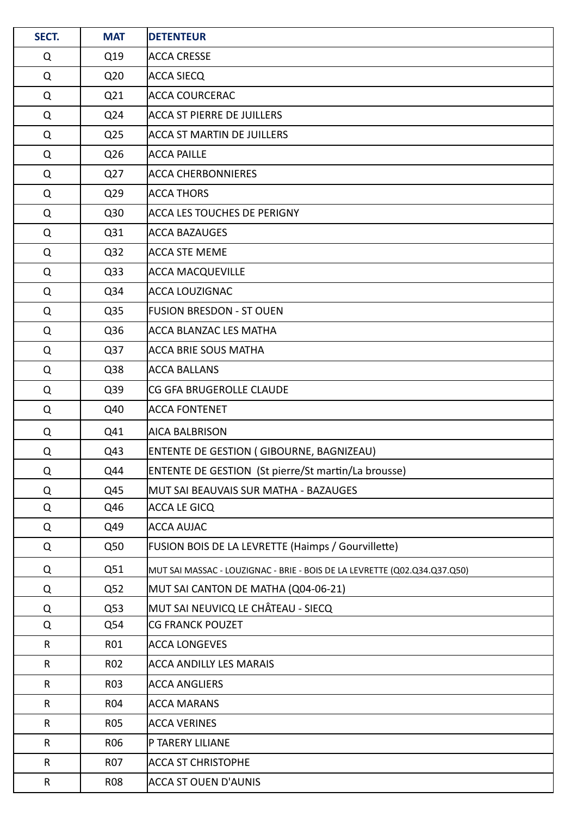| SECT.        | <b>MAT</b>      | <b>DETENTEUR</b>                                                          |  |  |  |
|--------------|-----------------|---------------------------------------------------------------------------|--|--|--|
| Q            | Q19             | <b>ACCA CRESSE</b>                                                        |  |  |  |
| Q            | Q <sub>20</sub> | <b>ACCA SIECQ</b>                                                         |  |  |  |
| Q            | Q21             | <b>ACCA COURCERAC</b>                                                     |  |  |  |
| Q            | Q24             | <b>ACCA ST PIERRE DE JUILLERS</b>                                         |  |  |  |
| Q            | Q <sub>25</sub> | <b>ACCA ST MARTIN DE JUILLERS</b>                                         |  |  |  |
| Q            | Q <sub>26</sub> | <b>ACCA PAILLE</b>                                                        |  |  |  |
| Q            | Q27             | <b>ACCA CHERBONNIERES</b>                                                 |  |  |  |
| Q            | Q29             | <b>ACCA THORS</b>                                                         |  |  |  |
| Q            | Q30             | <b>ACCA LES TOUCHES DE PERIGNY</b>                                        |  |  |  |
| Q            | Q31             | <b>ACCA BAZAUGES</b>                                                      |  |  |  |
| Q            | Q <sub>32</sub> | <b>ACCA STE MEME</b>                                                      |  |  |  |
| Q            | Q <sub>33</sub> | <b>ACCA MACQUEVILLE</b>                                                   |  |  |  |
| Q            | Q34             | <b>ACCA LOUZIGNAC</b>                                                     |  |  |  |
| Q            | Q <sub>35</sub> | <b>FUSION BRESDON - ST OUEN</b>                                           |  |  |  |
| Q            | Q36             | <b>ACCA BLANZAC LES MATHA</b>                                             |  |  |  |
| Q            | Q <sub>37</sub> | <b>ACCA BRIE SOUS MATHA</b>                                               |  |  |  |
| Q            | Q38             | <b>ACCA BALLANS</b>                                                       |  |  |  |
| Q            | Q39             | CG GFA BRUGEROLLE CLAUDE                                                  |  |  |  |
| Q            | Q40             | <b>ACCA FONTENET</b>                                                      |  |  |  |
| Q            | Q41             | <b>AICA BALBRISON</b>                                                     |  |  |  |
| Q            | Q43             | ENTENTE DE GESTION ( GIBOURNE, BAGNIZEAU)                                 |  |  |  |
| Q            | Q44             | ENTENTE DE GESTION (St pierre/St martin/La brousse)                       |  |  |  |
| Q            | Q45             | MUT SAI BEAUVAIS SUR MATHA - BAZAUGES                                     |  |  |  |
| Q            | Q46             | ACCA LE GICQ                                                              |  |  |  |
| Q            | Q49             | <b>ACCA AUJAC</b>                                                         |  |  |  |
| Q            | Q50             | FUSION BOIS DE LA LEVRETTE (Haimps / Gourvillette)                        |  |  |  |
| Q            | Q51             | MUT SAI MASSAC - LOUZIGNAC - BRIE - BOIS DE LA LEVRETTE (Q02.Q34.Q37.Q50) |  |  |  |
| Q            | Q <sub>52</sub> | MUT SAI CANTON DE MATHA (Q04-06-21)                                       |  |  |  |
| Q            | Q53             | MUT SAI NEUVICQ LE CHÂTEAU - SIECQ                                        |  |  |  |
| Q            | Q54             | <b>CG FRANCK POUZET</b>                                                   |  |  |  |
| R            | R01             | <b>ACCA LONGEVES</b>                                                      |  |  |  |
| R            | R02             | <b>ACCA ANDILLY LES MARAIS</b>                                            |  |  |  |
| $\mathsf{R}$ | R03             | <b>ACCA ANGLIERS</b>                                                      |  |  |  |
| R            | <b>R04</b>      | <b>ACCA MARANS</b>                                                        |  |  |  |
| R            | <b>R05</b>      | <b>ACCA VERINES</b>                                                       |  |  |  |
| R            | R06             | P TARERY LILIANE                                                          |  |  |  |
| $\mathsf{R}$ | <b>R07</b>      | <b>ACCA ST CHRISTOPHE</b>                                                 |  |  |  |
| R            | <b>R08</b>      | <b>ACCA ST OUEN D'AUNIS</b>                                               |  |  |  |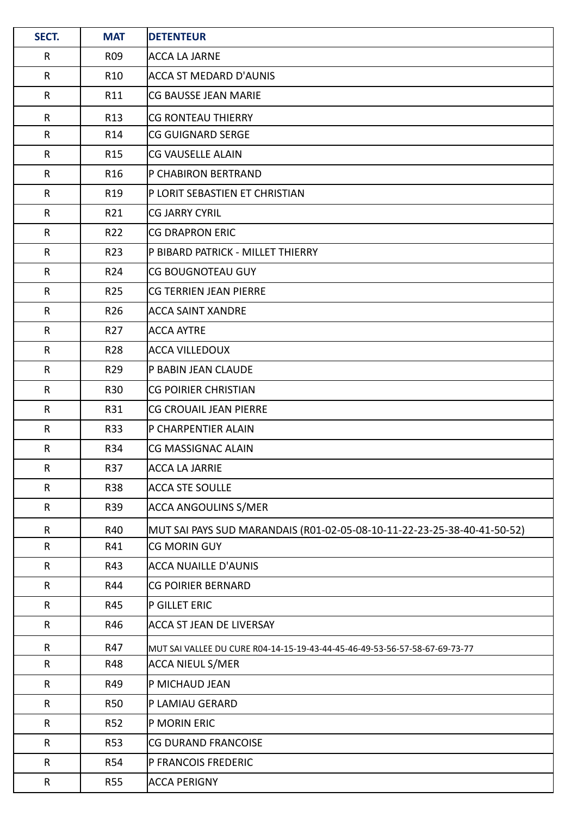| SECT.        | <b>MAT</b>      | <b>DETENTEUR</b>                                                           |  |  |  |
|--------------|-----------------|----------------------------------------------------------------------------|--|--|--|
| $\mathsf{R}$ | R09             | ACCA LA JARNE                                                              |  |  |  |
| $\mathsf{R}$ | R <sub>10</sub> | ACCA ST MEDARD D'AUNIS                                                     |  |  |  |
| R            | R11             | <b>CG BAUSSE JEAN MARIE</b>                                                |  |  |  |
| R            | R <sub>13</sub> | <b>CG RONTEAU THIERRY</b>                                                  |  |  |  |
| $\mathsf{R}$ | R14             | <b>CG GUIGNARD SERGE</b>                                                   |  |  |  |
| $\mathsf{R}$ | R <sub>15</sub> | <b>CG VAUSELLE ALAIN</b>                                                   |  |  |  |
| $\mathsf{R}$ | R <sub>16</sub> | P CHABIRON BERTRAND                                                        |  |  |  |
| R            | R <sub>19</sub> | P LORIT SEBASTIEN ET CHRISTIAN                                             |  |  |  |
| $\mathsf{R}$ | R21             | <b>CG JARRY CYRIL</b>                                                      |  |  |  |
| $\mathsf{R}$ | R22             | <b>CG DRAPRON ERIC</b>                                                     |  |  |  |
| R            | R23             | P BIBARD PATRICK - MILLET THIERRY                                          |  |  |  |
| R            | R24             | <b>CG BOUGNOTEAU GUY</b>                                                   |  |  |  |
| $\mathsf{R}$ | R <sub>25</sub> | CG TERRIEN JEAN PIERRE                                                     |  |  |  |
| $\mathsf{R}$ | R <sub>26</sub> | <b>ACCA SAINT XANDRE</b>                                                   |  |  |  |
| R            | R <sub>27</sub> | <b>ACCA AYTRE</b>                                                          |  |  |  |
| R            | R28             | ACCA VILLEDOUX                                                             |  |  |  |
| $\mathsf{R}$ | R29             | P BABIN JEAN CLAUDE                                                        |  |  |  |
| $\mathsf{R}$ | <b>R30</b>      | <b>CG POIRIER CHRISTIAN</b>                                                |  |  |  |
| R            | R31             | <b>CG CROUAIL JEAN PIERRE</b>                                              |  |  |  |
| $\mathsf{R}$ | <b>R33</b>      | P CHARPENTIER ALAIN                                                        |  |  |  |
| $\mathsf R$  | R34             | CG MASSIGNAC ALAIN                                                         |  |  |  |
| $\mathsf{R}$ | R37             | <b>ACCA LA JARRIE</b>                                                      |  |  |  |
| $\mathsf R$  | <b>R38</b>      | <b>ACCA STE SOULLE</b>                                                     |  |  |  |
| $\mathsf{R}$ | R39             | <b>ACCA ANGOULINS S/MER</b>                                                |  |  |  |
| $\mathsf{R}$ | R40             | MUT SAI PAYS SUD MARANDAIS (R01-02-05-08-10-11-22-23-25-38-40-41-50-52)    |  |  |  |
| $\mathsf{R}$ | R41             | <b>CG MORIN GUY</b>                                                        |  |  |  |
| $\mathsf{R}$ | R43             | <b>ACCA NUAILLE D'AUNIS</b>                                                |  |  |  |
| $\mathsf{R}$ | R44             | <b>CG POIRIER BERNARD</b>                                                  |  |  |  |
| $\mathsf{R}$ | R45             | P GILLET ERIC                                                              |  |  |  |
| $\mathsf{R}$ | R46             | <b>ACCA ST JEAN DE LIVERSAY</b>                                            |  |  |  |
| R            | R47             | MUT SAI VALLEE DU CURE R04-14-15-19-43-44-45-46-49-53-56-57-58-67-69-73-77 |  |  |  |
| R            | R48             | <b>ACCA NIEUL S/MER</b>                                                    |  |  |  |
| $\mathsf{R}$ | R49             | P MICHAUD JEAN                                                             |  |  |  |
| $\mathsf{R}$ | <b>R50</b>      | P LAMIAU GERARD                                                            |  |  |  |
| $\mathsf{R}$ | <b>R52</b>      | P MORIN ERIC                                                               |  |  |  |
| $\mathsf{R}$ | <b>R53</b>      | CG DURAND FRANCOISE                                                        |  |  |  |
| $\mathsf{R}$ | <b>R54</b>      | P FRANCOIS FREDERIC                                                        |  |  |  |
| R            | <b>R55</b>      | <b>ACCA PERIGNY</b>                                                        |  |  |  |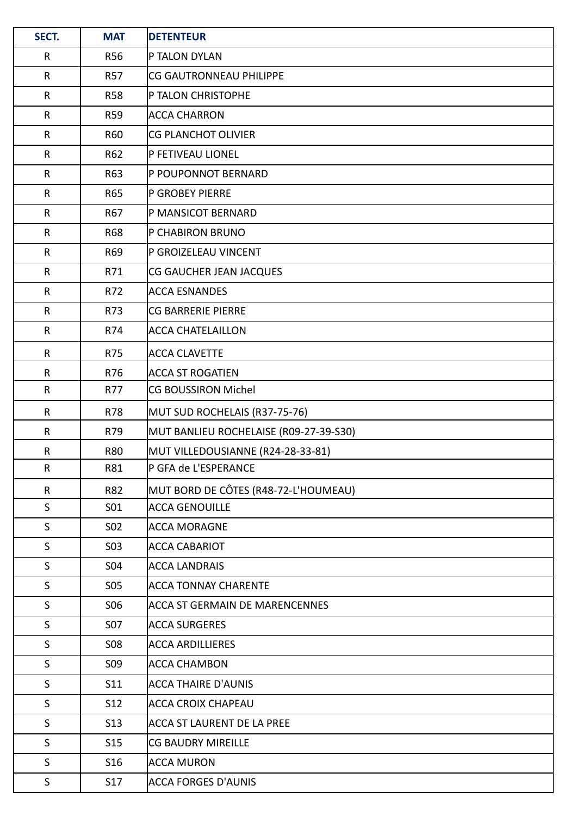| SECT.        | <b>MAT</b>      | <b>DETENTEUR</b>                       |
|--------------|-----------------|----------------------------------------|
| R            | <b>R56</b>      | P TALON DYLAN                          |
| $\mathsf{R}$ | <b>R57</b>      | <b>CG GAUTRONNEAU PHILIPPE</b>         |
| $\mathsf{R}$ | <b>R58</b>      | P TALON CHRISTOPHE                     |
| $\mathsf{R}$ | <b>R59</b>      | <b>ACCA CHARRON</b>                    |
| R            | R60             | CG PLANCHOT OLIVIER                    |
| $\mathsf R$  | R62             | P FETIVEAU LIONEL                      |
| $\mathsf{R}$ | R63             | P POUPONNOT BERNARD                    |
| $\mathsf{R}$ | R65             | <b>P GROBEY PIERRE</b>                 |
| $\mathsf{R}$ | R67             | P MANSICOT BERNARD                     |
| $\mathsf{R}$ | R68             | P CHABIRON BRUNO                       |
| $\mathsf{R}$ | R69             | P GROIZELEAU VINCENT                   |
| R            | R71             | CG GAUCHER JEAN JACQUES                |
| $\mathsf{R}$ | R72             | ACCA ESNANDES                          |
| $\mathsf R$  | R73             | CG BARRERIE PIERRE                     |
| $\mathsf{R}$ | R74             | <b>ACCA CHATELAILLON</b>               |
| $\mathsf R$  | R75             | <b>ACCA CLAVETTE</b>                   |
| $\mathsf{R}$ | R76             | ACCA ST ROGATIEN                       |
| $\mathsf{R}$ | R77             | CG BOUSSIRON Michel                    |
| R            | R78             | MUT SUD ROCHELAIS (R37-75-76)          |
| $\mathsf R$  | R79             | MUT BANLIEU ROCHELAISE (R09-27-39-S30) |
| $\mathsf{R}$ | <b>R80</b>      | MUT VILLEDOUSIANNE (R24-28-33-81)      |
| $\mathsf{R}$ | R81             | P GFA de L'ESPERANCE                   |
| R            | R82             | MUT BORD DE CÔTES (R48-72-L'HOUMEAU)   |
| S            | S01             | <b>ACCA GENOUILLE</b>                  |
| S            | <b>SO2</b>      | <b>ACCA MORAGNE</b>                    |
| S            | <b>SO3</b>      | <b>ACCA CABARIOT</b>                   |
| S            | <b>SO4</b>      | <b>ACCA LANDRAIS</b>                   |
| $\mathsf S$  | <b>SO5</b>      | <b>ACCA TONNAY CHARENTE</b>            |
| S            | <b>SO6</b>      | <b>ACCA ST GERMAIN DE MARENCENNES</b>  |
| $\sf S$      | S07             | <b>ACCA SURGERES</b>                   |
| S            | <b>S08</b>      | <b>ACCA ARDILLIERES</b>                |
| S            | S <sub>09</sub> | <b>ACCA CHAMBON</b>                    |
| $\mathsf S$  | S11             | <b>ACCA THAIRE D'AUNIS</b>             |
| S            | S12             | ACCA CROIX CHAPEAU                     |
| S            | <b>S13</b>      | ACCA ST LAURENT DE LA PREE             |
| $\mathsf S$  | <b>S15</b>      | CG BAUDRY MIREILLE                     |
| $\mathsf{S}$ | S16             | ACCA MURON                             |
| $\sf S$      | S17             | <b>ACCA FORGES D'AUNIS</b>             |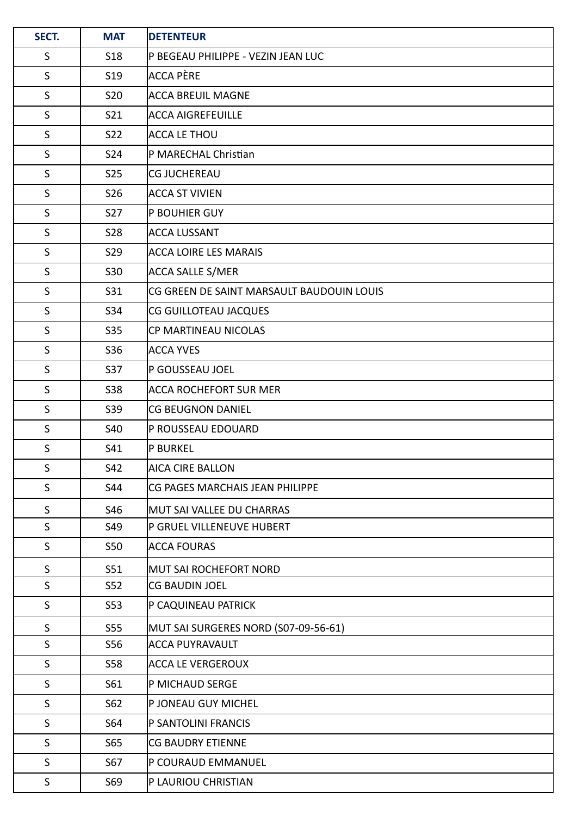| SECT.        | <b>MAT</b>      | <b>DETENTEUR</b>                          |
|--------------|-----------------|-------------------------------------------|
| S            | <b>S18</b>      | P BEGEAU PHILIPPE - VEZIN JEAN LUC        |
| $\mathsf S$  | S <sub>19</sub> | ACCA PÈRE                                 |
| $\mathsf{S}$ | <b>S20</b>      | <b>ACCA BREUIL MAGNE</b>                  |
| $\mathsf S$  | S21             | <b>ACCA AIGREFEUILLE</b>                  |
| $\mathsf{S}$ | S22             | ACCA LE THOU                              |
| $\mathsf{S}$ | <b>S24</b>      | P MARECHAL Christian                      |
| $\mathsf S$  | <b>S25</b>      | <b>CG JUCHEREAU</b>                       |
| S            | S26             | <b>ACCA ST VIVIEN</b>                     |
| $\mathsf S$  | S27             | P BOUHIER GUY                             |
| $\mathsf S$  | <b>S28</b>      | ACCA LUSSANT                              |
| S            | <b>S29</b>      | <b>ACCA LOIRE LES MARAIS</b>              |
| $\mathsf S$  | S30             | <b>ACCA SALLE S/MER</b>                   |
| $\mathsf{S}$ | S31             | CG GREEN DE SAINT MARSAULT BAUDOUIN LOUIS |
| $\mathsf S$  | S34             | CG GUILLOTEAU JACQUES                     |
| $\mathsf S$  | S35             | CP MARTINEAU NICOLAS                      |
| $\mathsf S$  | S36             | <b>ACCA YVES</b>                          |
| $\mathsf S$  | S37             | P GOUSSEAU JOEL                           |
| S            | <b>S38</b>      | ACCA ROCHEFORT SUR MER                    |
| $\mathsf S$  | S39             | <b>CG BEUGNON DANIEL</b>                  |
| $\mathsf{S}$ | <b>S40</b>      | P ROUSSEAU EDOUARD                        |
| S            | S41             | <b>P BURKEL</b>                           |
| $\mathsf S$  | S42             | <b>AICA CIRE BALLON</b>                   |
| S            | S44             | CG PAGES MARCHAIS JEAN PHILIPPE           |
| $\sf S$      | S46             | MUT SAI VALLEE DU CHARRAS                 |
| $\mathsf S$  | S49             | P GRUEL VILLENEUVE HUBERT                 |
| S            | S50             | ACCA FOURAS                               |
| S            | S51             | MUT SAI ROCHEFORT NORD                    |
| $\mathsf S$  | S52             | CG BAUDIN JOEL                            |
| S            | S <sub>53</sub> | P CAQUINEAU PATRICK                       |
| $\sf S$      | S55             | MUT SAI SURGERES NORD (S07-09-56-61)      |
| $\mathsf S$  | S56             | ACCA PUYRAVAULT                           |
| S            | <b>S58</b>      | <b>ACCA LE VERGEROUX</b>                  |
| $\mathsf S$  | S61             | P MICHAUD SERGE                           |
| $\mathsf S$  | S62             | P JONEAU GUY MICHEL                       |
| S            | S64             | P SANTOLINI FRANCIS                       |
| $\mathsf S$  | S65             | <b>CG BAUDRY ETIENNE</b>                  |
| $\mathsf{S}$ | S67             | P COURAUD EMMANUEL                        |
| $\mathsf S$  | S69             | P LAURIOU CHRISTIAN                       |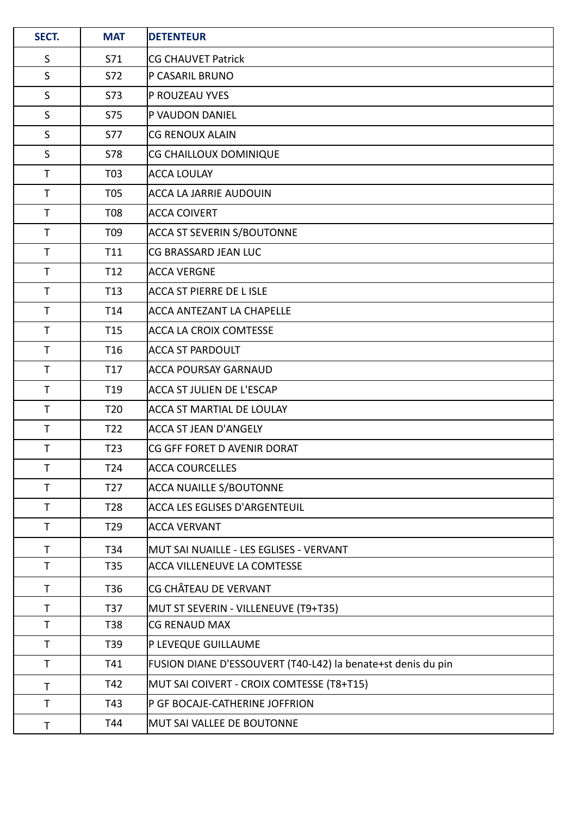| SECT.        | <b>MAT</b>      | <b>DETENTEUR</b>                                             |  |
|--------------|-----------------|--------------------------------------------------------------|--|
| S            | S71             | <b>CG CHAUVET Patrick</b>                                    |  |
| $\mathsf{S}$ | S72             | P CASARIL BRUNO                                              |  |
| $\mathsf{S}$ | <b>S73</b>      | P ROUZEAU YVES                                               |  |
| S            | S75             | <b>P VAUDON DANIEL</b>                                       |  |
| $\mathsf{S}$ | S77             | <b>CG RENOUX ALAIN</b>                                       |  |
| $\mathsf{S}$ | <b>S78</b>      | CG CHAILLOUX DOMINIQUE                                       |  |
| $\mathsf{T}$ | T03             | <b>ACCA LOULAY</b>                                           |  |
| $\mathsf{T}$ | T05             | ACCA LA JARRIE AUDOUIN                                       |  |
| $\mathsf T$  | T08             | ACCA COIVERT                                                 |  |
| $\mathsf T$  | T09             | <b>ACCA ST SEVERIN S/BOUTONNE</b>                            |  |
| $\mathsf{T}$ | T11             | CG BRASSARD JEAN LUC                                         |  |
| $\mathsf{T}$ | T <sub>12</sub> | <b>ACCA VERGNE</b>                                           |  |
| $\mathsf T$  | T <sub>13</sub> | ACCA ST PIERRE DE L ISLE                                     |  |
| $\mathsf{T}$ | T14             | <b>ACCA ANTEZANT LA CHAPELLE</b>                             |  |
| $\mathsf{T}$ | T <sub>15</sub> | <b>ACCA LA CROIX COMTESSE</b>                                |  |
| $\mathsf T$  | T <sub>16</sub> | ACCA ST PARDOULT                                             |  |
| $\mathsf{T}$ | T <sub>17</sub> | ACCA POURSAY GARNAUD                                         |  |
| $\mathsf T$  | T <sub>19</sub> | ACCA ST JULIEN DE L'ESCAP                                    |  |
| $\mathsf T$  | T <sub>20</sub> | ACCA ST MARTIAL DE LOULAY                                    |  |
| $\mathsf T$  | T <sub>22</sub> | ACCA ST JEAN D'ANGELY                                        |  |
| T            | T <sub>23</sub> | ICG GFF FORET D AVENIR DORAT                                 |  |
| $\mathsf{T}$ | T <sub>24</sub> | <b>ACCA COURCELLES</b>                                       |  |
| $\mathsf{T}$ | T <sub>27</sub> | <b>ACCA NUAILLE S/BOUTONNE</b>                               |  |
| $\mathsf{T}$ | T <sub>28</sub> | ACCA LES EGLISES D'ARGENTEUIL                                |  |
| $\mathsf T$  | T <sub>29</sub> | <b>ACCA VERVANT</b>                                          |  |
| $\mathsf{T}$ | T34             | MUT SAI NUAILLE - LES EGLISES - VERVANT                      |  |
| $\mathsf T$  | T <sub>35</sub> | <b>ACCA VILLENEUVE LA COMTESSE</b>                           |  |
| $\mathsf T$  | T36             | <b>CG CHÂTEAU DE VERVANT</b>                                 |  |
| $\mathsf{T}$ | T37             | MUT ST SEVERIN - VILLENEUVE (T9+T35)                         |  |
| $\mathsf{T}$ | T38             | <b>CG RENAUD MAX</b>                                         |  |
| T            | T39             | P LEVEQUE GUILLAUME                                          |  |
| $\mathsf T$  | T41             | FUSION DIANE D'ESSOUVERT (T40-L42) la benate+st denis du pin |  |
| $\mathsf{T}$ | T42             | MUT SAI COIVERT - CROIX COMTESSE (T8+T15)                    |  |
| $\mathsf T$  | T43             | P GF BOCAJE-CATHERINE JOFFRION                               |  |
| Τ            | T44             | MUT SAI VALLEE DE BOUTONNE                                   |  |